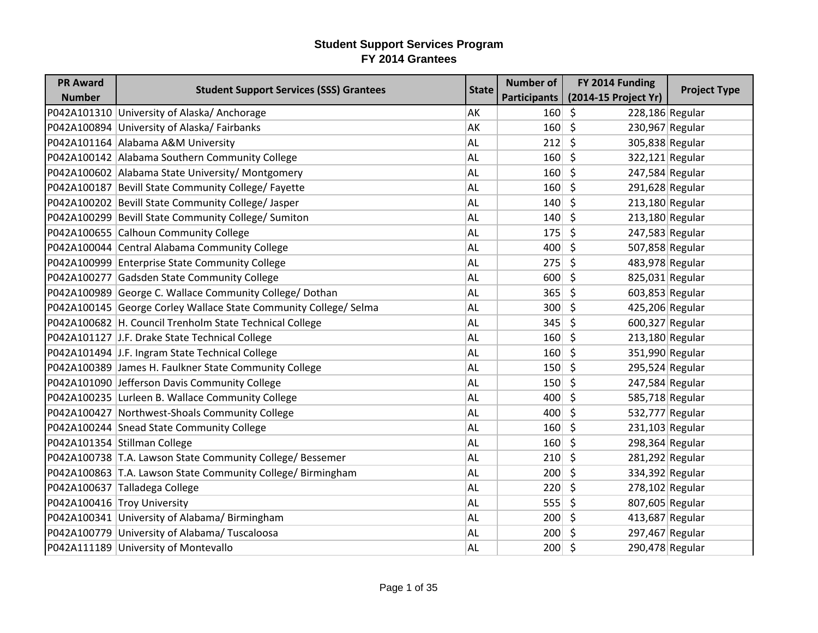| <b>PR Award</b> |                                                                  |              | <b>Number of</b>    | FY 2014 Funding            |                     |
|-----------------|------------------------------------------------------------------|--------------|---------------------|----------------------------|---------------------|
| <b>Number</b>   | <b>Student Support Services (SSS) Grantees</b>                   | <b>State</b> | <b>Participants</b> | (2014-15 Project Yr)       | <b>Project Type</b> |
|                 | P042A101310 University of Alaska/Anchorage                       | AK           | $160 \mid 5$        | 228,186 Regular            |                     |
|                 | P042A100894 University of Alaska/Fairbanks                       | AK           | $160 \mid 5$        | 230,967 Regular            |                     |
|                 | P042A101164 Alabama A&M University                               | <b>AL</b>    | 212                 | $\zeta$<br>305,838 Regular |                     |
|                 | P042A100142 Alabama Southern Community College                   | <b>AL</b>    | $160 \mid 5$        | 322,121 Regular            |                     |
|                 | P042A100602 Alabama State University/ Montgomery                 | <b>AL</b>    | $160 \mid 5$        | 247,584 Regular            |                     |
|                 | P042A100187 Bevill State Community College/ Fayette              | <b>AL</b>    | $160 \mid 5$        | 291,628 Regular            |                     |
|                 | P042A100202 Bevill State Community College/ Jasper               | AL           | $140 \mid 5$        | 213,180 Regular            |                     |
|                 | P042A100299 Bevill State Community College/ Sumiton              | <b>AL</b>    | 140                 | \$<br>$213,180$ Regular    |                     |
|                 | P042A100655 Calhoun Community College                            | <b>AL</b>    | 175                 | \$<br>247,583 Regular      |                     |
|                 | P042A100044 Central Alabama Community College                    | <b>AL</b>    | $400 \mid 5$        | 507,858 Regular            |                     |
|                 | P042A100999 Enterprise State Community College                   | <b>AL</b>    | $275 \mid 5$        | 483,978 Regular            |                     |
|                 | P042A100277 Gadsden State Community College                      | <b>AL</b>    | $600 \mid 5$        | 825,031 Regular            |                     |
|                 | P042A100989 George C. Wallace Community College/ Dothan          | <b>AL</b>    | 365                 | \$<br>603,853 Regular      |                     |
|                 | P042A100145 George Corley Wallace State Community College/ Selma | <b>AL</b>    | 300                 | 425,206 Regular<br>\$      |                     |
|                 | P042A100682   H. Council Trenholm State Technical College        | <b>AL</b>    | 345                 | $\zeta$<br>600,327 Regular |                     |
|                 | P042A101127 J.F. Drake State Technical College                   | AL           | $160$ \$            | $213,180$ Regular          |                     |
|                 | P042A101494 J.F. Ingram State Technical College                  | <b>AL</b>    | $160 \mid 5$        | 351,990 Regular            |                     |
|                 | P042A100389 James H. Faulkner State Community College            | <b>AL</b>    | $150 \mid 5$        | 295,524 Regular            |                     |
|                 | P042A101090 Jefferson Davis Community College                    | <b>AL</b>    | $150 \mid 5$        | 247,584 Regular            |                     |
|                 | P042A100235 Lurleen B. Wallace Community College                 | <b>AL</b>    | 400                 | \$<br>585,718 Regular      |                     |
|                 | P042A100427 Northwest-Shoals Community College                   | <b>AL</b>    | $400 \mid 5$        | 532,777 Regular            |                     |
|                 | P042A100244 Snead State Community College                        | AL           | $160 \mid 5$        | $231,103$ Regular          |                     |
|                 | P042A101354 Stillman College                                     | <b>AL</b>    | $160 \mid 5$        | 298,364 Regular            |                     |
|                 | P042A100738 T.A. Lawson State Community College/ Bessemer        | AL           | $210 \mid 5$        | 281,292 Regular            |                     |
|                 | P042A100863 T.A. Lawson State Community College/ Birmingham      | <b>AL</b>    | $200 \mid 5$        | 334,392 Regular            |                     |
|                 | P042A100637 Talladega College                                    | <b>AL</b>    | 220                 | \$<br>$278,102$ Regular    |                     |
|                 | P042A100416 Troy University                                      | <b>AL</b>    | 555                 | \$<br>807,605 Regular      |                     |
|                 | P042A100341 University of Alabama/Birmingham                     | <b>AL</b>    | $200 \mid 5$        | 413,687 Regular            |                     |
|                 | P042A100779 University of Alabama/ Tuscaloosa                    | <b>AL</b>    | $200 \mid 5$        | 297,467 Regular            |                     |
|                 | P042A111189 University of Montevallo                             | AL           | $200 \mid 5$        | 290,478 Regular            |                     |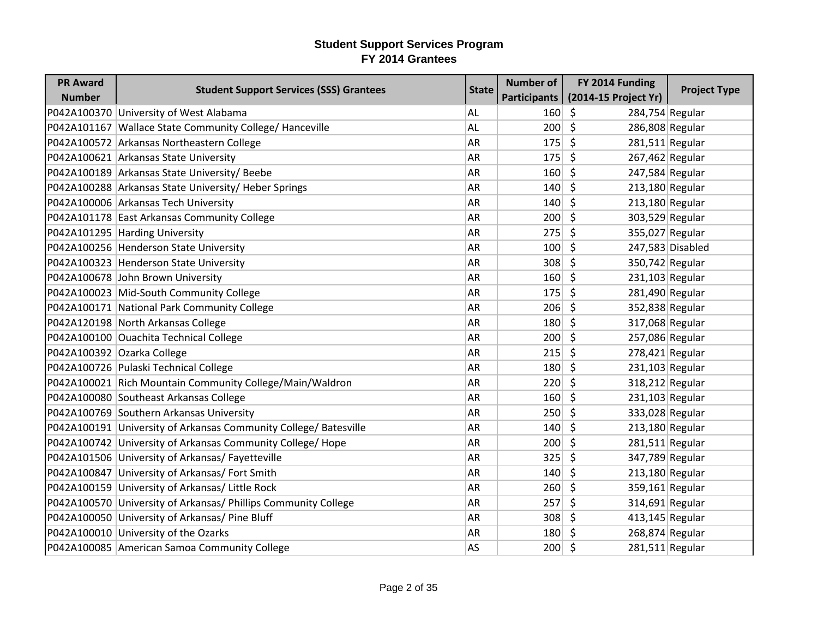| <b>PR Award</b> | <b>Student Support Services (SSS) Grantees</b>                   | <b>State</b> | <b>Number of</b> | FY 2014 Funding                       | <b>Project Type</b> |
|-----------------|------------------------------------------------------------------|--------------|------------------|---------------------------------------|---------------------|
| <b>Number</b>   |                                                                  |              | Participants     | (2014-15 Project Yr)                  |                     |
|                 | P042A100370 University of West Alabama                           | <b>AL</b>    | $160 \mid 5$     | 284,754 Regular                       |                     |
|                 | P042A101167 Wallace State Community College/ Hanceville          | <b>AL</b>    | 200              | $\zeta$<br>286,808 Regular            |                     |
|                 | P042A100572 Arkansas Northeastern College                        | <b>AR</b>    | 175              | Ŝ.<br>281,511 Regular                 |                     |
|                 | P042A100621 Arkansas State University                            | <b>AR</b>    | 175              | Ŝ.<br>267,462 Regular                 |                     |
|                 | P042A100189 Arkansas State University/ Beebe                     | <b>AR</b>    | 160              | $\zeta$<br>247,584 Regular            |                     |
|                 | P042A100288 Arkansas State University/ Heber Springs             | <b>AR</b>    | 140              | $\zeta$<br>213,180 Regular            |                     |
|                 | P042A100006 Arkansas Tech University                             | <b>AR</b>    | 140              | Ŝ.<br>213,180 Regular                 |                     |
|                 | P042A101178 East Arkansas Community College                      | <b>AR</b>    | 200              | $\zeta$<br>303,529 Regular            |                     |
|                 | P042A101295 Harding University                                   | <b>AR</b>    | 275              | $\zeta$<br>355,027 Regular            |                     |
|                 | P042A100256 Henderson State University                           | <b>AR</b>    | 100              | \$                                    | 247,583 Disabled    |
|                 | P042A100323 Henderson State University                           | <b>AR</b>    | 308              | $\zeta$<br>350,742 Regular            |                     |
|                 | P042A100678 John Brown University                                | <b>AR</b>    | $160 \mid 5$     | $231,103$ Regular                     |                     |
|                 | P042A100023 Mid-South Community College                          | <b>AR</b>    | 175              | \$<br>281,490 Regular                 |                     |
|                 | P042A100171 National Park Community College                      | <b>AR</b>    | 206              | \$<br>352,838 Regular                 |                     |
|                 | P042A120198 North Arkansas College                               | <b>AR</b>    | 180              | $\zeta$<br>317,068 Regular            |                     |
|                 | P042A100100 Ouachita Technical College                           | AR           | 200              | Ŝ.<br>257,086 Regular                 |                     |
|                 | P042A100392 Ozarka College                                       | <b>AR</b>    | 215              | $\zeta$<br>278,421 Regular            |                     |
|                 | P042A100726 Pulaski Technical College                            | <b>AR</b>    | 180              | $\zeta$<br>231,103 Regular            |                     |
|                 | P042A100021 Rich Mountain Community College/Main/Waldron         | <b>AR</b>    | 220              | $\zeta$<br>318,212 Regular            |                     |
|                 | P042A100080 Southeast Arkansas College                           | <b>AR</b>    | 160              | $\zeta$<br>231,103 Regular            |                     |
|                 | P042A100769 Southern Arkansas University                         | <b>AR</b>    | 250              | $\zeta$<br>333,028 Regular            |                     |
|                 | P042A100191 University of Arkansas Community College/ Batesville | <b>AR</b>    | 140              | Ŝ.<br>213,180 Regular                 |                     |
|                 | P042A100742 University of Arkansas Community College/ Hope       | <b>AR</b>    | 200              | $\mathsf{\hat{S}}$<br>281,511 Regular |                     |
|                 | P042A101506 University of Arkansas/ Fayetteville                 | <b>AR</b>    | 325              | $\zeta$<br>347,789 Regular            |                     |
|                 | P042A100847 University of Arkansas/ Fort Smith                   | <b>AR</b>    | 140              | $\zeta$<br>213,180 Regular            |                     |
|                 | P042A100159 University of Arkansas/ Little Rock                  | <b>AR</b>    | 260              | 359,161 Regular<br>\$                 |                     |
|                 | P042A100570 University of Arkansas/ Phillips Community College   | <b>AR</b>    | 257              | $\zeta$<br>314,691 Regular            |                     |
|                 | P042A100050 University of Arkansas/ Pine Bluff                   | <b>AR</b>    | 308              | \$<br>413,145 Regular                 |                     |
|                 | P042A100010 University of the Ozarks                             | <b>AR</b>    | $180 \mid 5$     | 268,874 Regular                       |                     |
|                 | P042A100085 American Samoa Community College                     | AS           | $200 \mid 5$     | 281,511 Regular                       |                     |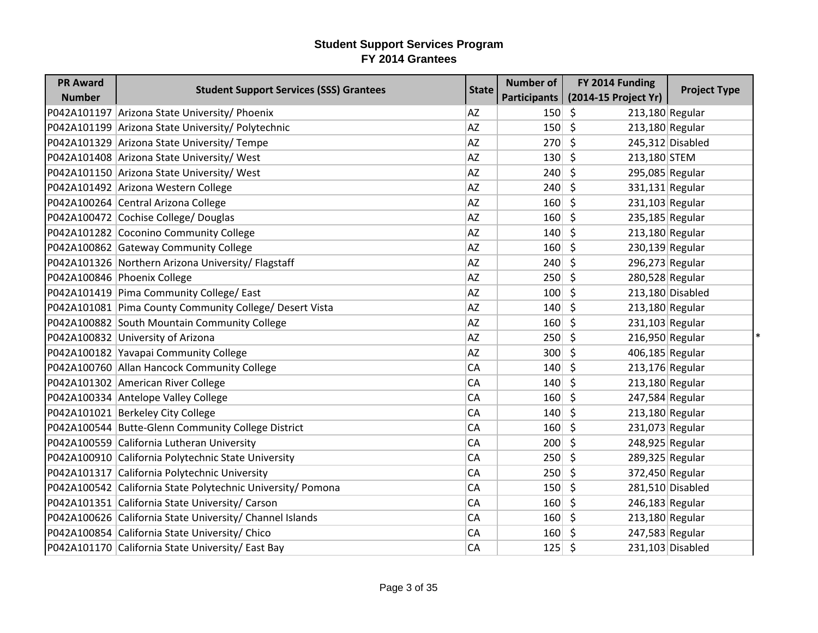| <b>PR Award</b> | <b>Student Support Services (SSS) Grantees</b>              | <b>State</b> | <b>Number of</b> | FY 2014 Funding                       | <b>Project Type</b> |
|-----------------|-------------------------------------------------------------|--------------|------------------|---------------------------------------|---------------------|
| <b>Number</b>   |                                                             |              | Participants     | (2014-15 Project Yr)                  |                     |
|                 | P042A101197 Arizona State University/ Phoenix               | AZ           | 150              | \$<br>213,180 Regular                 |                     |
|                 | P042A101199 Arizona State University/ Polytechnic           | AZ           | 150              | S.<br>213,180 Regular                 |                     |
|                 | P042A101329 Arizona State University/ Tempe                 | <b>AZ</b>    | 270              | \$                                    | 245,312 Disabled    |
|                 | P042A101408 Arizona State University/ West                  | AZ           | 130              | \$<br>213,180 STEM                    |                     |
|                 | P042A101150 Arizona State University/ West                  | AZ           | 240              | - \$<br>295,085 Regular               |                     |
|                 | P042A101492 Arizona Western College                         | <b>AZ</b>    | 240              | \$<br>331,131 Regular                 |                     |
|                 | P042A100264 Central Arizona College                         | AZ           | 160              | \$<br>231,103 Regular                 |                     |
|                 | P042A100472 Cochise College/ Douglas                        | AZ           | 160              | \$<br>235,185 Regular                 |                     |
|                 | P042A101282 Coconino Community College                      | <b>AZ</b>    | 140              | $\zeta$<br>213,180 Regular            |                     |
|                 | P042A100862 Gateway Community College                       | AZ           | 160              | \$<br>230,139 Regular                 |                     |
|                 | P042A101326 Northern Arizona University/ Flagstaff          | AZ           | 240              | \$<br>296,273 Regular                 |                     |
|                 | P042A100846 Phoenix College                                 | AZ           | 250              | Ś.<br>280,528 Regular                 |                     |
|                 | P042A101419 Pima Community College/ East                    | AZ           | 100              | \$                                    | 213,180 Disabled    |
|                 | P042A101081 Pima County Community College/ Desert Vista     | AZ           | 140              | \$<br>213,180 Regular                 |                     |
|                 | P042A100882 South Mountain Community College                | AZ           | 160              | \$<br>$231,103$ Regular               |                     |
|                 | P042A100832 University of Arizona                           | <b>AZ</b>    | 250              | $\zeta$<br>216,950 Regular            |                     |
|                 | P042A100182 Yavapai Community College                       | AZ           | 300              | 406,185 Regular<br>\$                 |                     |
|                 | P042A100760 Allan Hancock Community College                 | CA           | 140              | $\zeta$<br>213,176 Regular            |                     |
|                 | P042A101302 American River College                          | CA           | 140              | $\zeta$<br>213,180 Regular            |                     |
|                 | P042A100334 Antelope Valley College                         | CA           | 160              | \$<br>247,584 Regular                 |                     |
|                 | P042A101021 Berkeley City College                           | CA           | 140              | $\mathsf{\hat{S}}$<br>213,180 Regular |                     |
|                 | P042A100544 Butte-Glenn Community College District          | CA           | 160              | \$<br>231,073 Regular                 |                     |
|                 | P042A100559 California Lutheran University                  | CA           | 200              | \$<br>248,925 Regular                 |                     |
|                 | P042A100910 California Polytechnic State University         | CA           | 250              | \$<br>289,325 Regular                 |                     |
|                 | P042A101317 California Polytechnic University               | CA           | 250              | \$<br>372,450 Regular                 |                     |
|                 | P042A100542 California State Polytechnic University/ Pomona | CA           | 150              | \$.                                   | 281,510 Disabled    |
|                 | P042A101351 California State University/ Carson             | CA           | 160              | \$<br>246,183 Regular                 |                     |
|                 | P042A100626 California State University/ Channel Islands    | CA           | 160              | $\zeta$<br>213,180 Regular            |                     |
|                 | P042A100854 California State University/ Chico              | CA           | 160              | 247,583 Regular<br>\$                 |                     |
|                 | P042A101170 California State University/ East Bay           | CA           | 125              | $\zeta$                               | 231,103 Disabled    |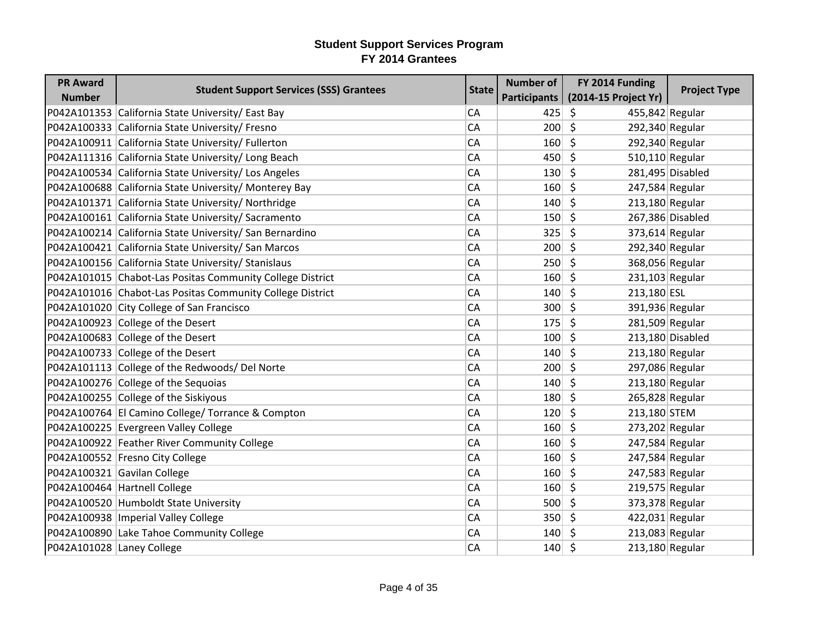| <b>PR Award</b>           | <b>Student Support Services (SSS) Grantees</b>            | <b>State</b> | <b>Number of</b> | FY 2014 Funding                       | <b>Project Type</b> |
|---------------------------|-----------------------------------------------------------|--------------|------------------|---------------------------------------|---------------------|
| <b>Number</b>             |                                                           |              | Participants     | (2014-15 Project Yr)                  |                     |
|                           | P042A101353 California State University/ East Bay         | <b>CA</b>    | 425              | \$<br>455,842 Regular                 |                     |
|                           | P042A100333 California State University/ Fresno           | <b>CA</b>    | 200              | $\zeta$<br>292,340 Regular            |                     |
|                           | P042A100911 California State University/ Fullerton        | <b>CA</b>    | 160              | $\zeta$<br>292,340 Regular            |                     |
|                           | P042A111316 California State University/ Long Beach       | <b>CA</b>    | $450 \mid 5$     | 510,110 Regular                       |                     |
|                           | P042A100534 California State University/ Los Angeles      | <b>CA</b>    | 130              | $\mathsf{\hat{S}}$                    | 281,495 Disabled    |
|                           | P042A100688 California State University/ Monterey Bay     | <b>CA</b>    | 160              | $\zeta$<br>247,584 Regular            |                     |
|                           | P042A101371 California State University/ Northridge       | <b>CA</b>    | 140              | Ŝ.<br>213,180 Regular                 |                     |
|                           | P042A100161 California State University/ Sacramento       | <b>CA</b>    | 150              | $\zeta$                               | 267,386 Disabled    |
|                           | P042A100214 California State University/ San Bernardino   | <b>CA</b>    | 325              | $\zeta$<br>373,614 Regular            |                     |
|                           | P042A100421 California State University/ San Marcos       | <b>CA</b>    | $200 \mid 5$     | 292,340 Regular                       |                     |
|                           | P042A100156 California State University/ Stanislaus       | <b>CA</b>    | 250              | $\mathsf{\hat{S}}$                    | 368,056 Regular     |
|                           | P042A101015 Chabot-Las Positas Community College District | CA           | 160              | $\mathsf{\hat{S}}$<br>231,103 Regular |                     |
|                           | P042A101016 Chabot-Las Positas Community College District | <b>CA</b>    | 140              | \$<br>213,180 ESL                     |                     |
|                           | P042A101020 City College of San Francisco                 | <b>CA</b>    | 300              | $\zeta$<br>391,936 Regular            |                     |
|                           | P042A100923 College of the Desert                         | <b>CA</b>    | 175              | $\zeta$<br>281,509 Regular            |                     |
|                           | P042A100683 College of the Desert                         | <b>CA</b>    | 100              | Ŝ.                                    | 213,180 Disabled    |
|                           | P042A100733 College of the Desert                         | <b>CA</b>    | $140 \mid 5$     | 213,180 Regular                       |                     |
|                           | P042A101113 College of the Redwoods/ Del Norte            | <b>CA</b>    | 200              | $\zeta$<br>297,086 Regular            |                     |
|                           | P042A100276 College of the Sequoias                       | CA           | 140              | \$<br>213,180 Regular                 |                     |
|                           | P042A100255 College of the Siskiyous                      | <b>CA</b>    | 180              | $\zeta$<br>265,828 Regular            |                     |
|                           | P042A100764 El Camino College/ Torrance & Compton         | <b>CA</b>    | 120              | $\zeta$<br>213,180 STEM               |                     |
|                           | P042A100225 Evergreen Valley College                      | <b>CA</b>    | 160              | \$<br>273,202 Regular                 |                     |
|                           | P042A100922 Feather River Community College               | <b>CA</b>    | $160 \mid 5$     | 247,584 Regular                       |                     |
|                           | P042A100552 Fresno City College                           | <b>CA</b>    | 160              | $\mathsf{\hat{S}}$<br>247,584 Regular |                     |
|                           | P042A100321 Gavilan College                               | <b>CA</b>    | 160              | $\zeta$<br>247,583 Regular            |                     |
|                           | P042A100464 Hartnell College                              | <b>CA</b>    | 160              | $\zeta$<br>219,575 Regular            |                     |
|                           | P042A100520 Humboldt State University                     | <b>CA</b>    | 500              | $\zeta$                               | 373,378 Regular     |
|                           | P042A100938 Imperial Valley College                       | <b>CA</b>    | $350 \mid 5$     | 422,031 Regular                       |                     |
|                           | P042A100890 Lake Tahoe Community College                  | <b>CA</b>    | $140 \mid 5$     | 213,083 Regular                       |                     |
| P042A101028 Laney College |                                                           | <b>CA</b>    | $140 \mid 5$     | 213,180 Regular                       |                     |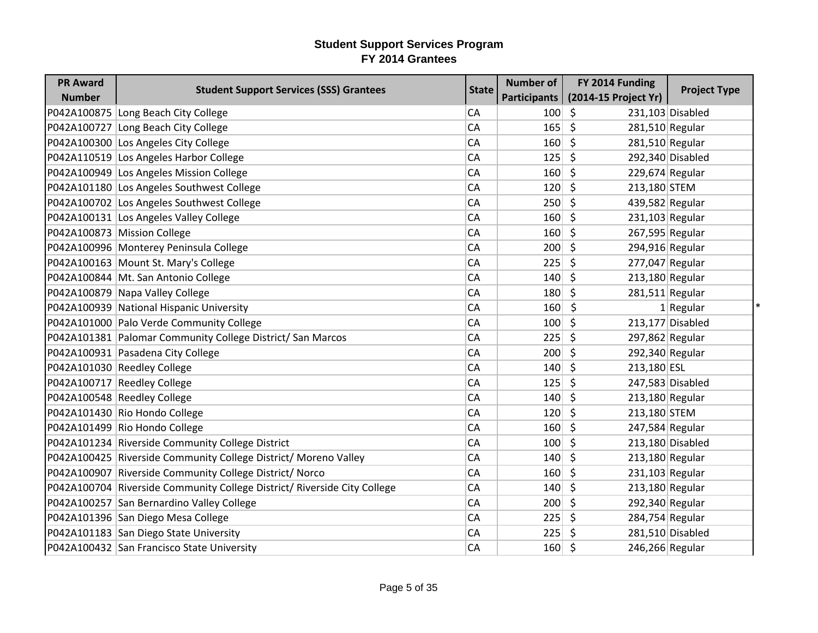| <b>PR Award</b> | <b>Student Support Services (SSS) Grantees</b>                           | <b>State</b> | <b>Number of</b> | FY 2014 Funding         | <b>Project Type</b> |
|-----------------|--------------------------------------------------------------------------|--------------|------------------|-------------------------|---------------------|
| <b>Number</b>   |                                                                          |              | Participants     | (2014-15 Project Yr)    |                     |
|                 | P042A100875 Long Beach City College                                      | CA           | 100              | \$                      | 231,103 Disabled    |
|                 | P042A100727 Long Beach City College                                      | CA           | 165              | \$<br>281,510 Regular   |                     |
|                 | P042A100300 Los Angeles City College                                     | CA           | 160              | \$<br>$281,510$ Regular |                     |
|                 | P042A110519 Los Angeles Harbor College                                   | CA           | 125              | \$                      | 292,340 Disabled    |
|                 | P042A100949 Los Angeles Mission College                                  | CA           | 160              | \$.<br>229,674 Regular  |                     |
|                 | P042A101180 Los Angeles Southwest College                                | CA           | 120              | \$<br>213,180 STEM      |                     |
|                 | P042A100702 Los Angeles Southwest College                                | CA           | 250              | \$<br>439,582 Regular   |                     |
|                 | P042A100131 Los Angeles Valley College                                   | CA           | 160              | \$<br>$231,103$ Regular |                     |
|                 | P042A100873 Mission College                                              | CA           | 160              | \$<br>267,595 Regular   |                     |
|                 | P042A100996 Monterey Peninsula College                                   | CA           | 200              | \$<br>294,916 Regular   |                     |
|                 | P042A100163 Mount St. Mary's College                                     | CA           | 225              | 277,047 Regular<br>\$   |                     |
|                 | P042A100844 Mt. San Antonio College                                      | CA           | 140              | \$<br>213,180 Regular   |                     |
|                 | P042A100879 Napa Valley College                                          | CA           | 180              | \$<br>$281,511$ Regular |                     |
|                 | P042A100939 National Hispanic University                                 | CA           | 160              | S.                      | $1$ Regular         |
|                 | P042A101000 Palo Verde Community College                                 | CA           | 100              | \$                      | 213,177 Disabled    |
|                 | P042A101381 Palomar Community College District/ San Marcos               | CA           | 225              | \$<br>297,862 Regular   |                     |
|                 | P042A100931 Pasadena City College                                        | CA           | 200              | \$<br>292,340 Regular   |                     |
|                 | P042A101030 Reedley College                                              | CA           | 140              | \$<br>213,180 ESL       |                     |
|                 | P042A100717 Reedley College                                              | CA           | 125              | \$                      | 247,583 Disabled    |
|                 | P042A100548 Reedley College                                              | CA           | 140              | \$<br>$213,180$ Regular |                     |
|                 | P042A101430 Rio Hondo College                                            | CA           | 120              | \$<br>213,180 STEM      |                     |
|                 | P042A101499 Rio Hondo College                                            | CA           | 160              | \$<br>247,584 Regular   |                     |
|                 | P042A101234 Riverside Community College District                         | CA           | 100              | \$.                     | 213,180 Disabled    |
|                 | P042A100425 Riverside Community College District/ Moreno Valley          | CA           | 140              | \$<br>213,180 Regular   |                     |
|                 | P042A100907 Riverside Community College District/ Norco                  | CA           | 160              | \$<br>231,103 Regular   |                     |
|                 | P042A100704 Riverside Community College District/ Riverside City College | CA           | 140              | \$.<br>213,180 Regular  |                     |
|                 | P042A100257 San Bernardino Valley College                                | CA           | 200              | \$<br>292,340 Regular   |                     |
|                 | P042A101396 San Diego Mesa College                                       | CA           | 225              | \$<br>284,754 Regular   |                     |
|                 | P042A101183 San Diego State University                                   | CA           | 225              | \$                      | 281,510 Disabled    |
|                 | P042A100432 San Francisco State University                               | CA           | 160              | \$<br>246,266 Regular   |                     |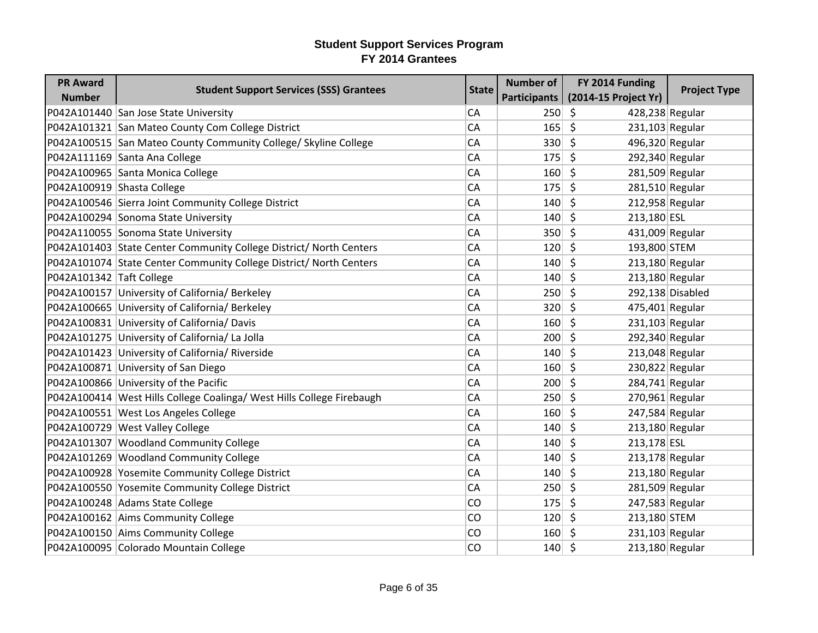| <b>PR Award</b>            | <b>Student Support Services (SSS) Grantees</b>                        | <b>State</b> | <b>Number of</b> | FY 2014 Funding              | <b>Project Type</b> |
|----------------------------|-----------------------------------------------------------------------|--------------|------------------|------------------------------|---------------------|
| <b>Number</b>              |                                                                       |              | Participants     | (2014-15 Project Yr)         |                     |
|                            | P042A101440 San Jose State University                                 | CA           | 250              | \$<br>428,238 Regular        |                     |
|                            | P042A101321 San Mateo County Com College District                     | CA           | 165              | \$<br>$231,103$ Regular      |                     |
|                            | P042A100515 San Mateo County Community College/ Skyline College       | CA           | 330 5            | 496,320 Regular              |                     |
|                            | P042A111169 Santa Ana College                                         | CA           | 175              | \$<br>292,340 Regular        |                     |
|                            | P042A100965 Santa Monica College                                      | CA           | 160              | $\zeta$<br>281,509 Regular   |                     |
| P042A100919 Shasta College |                                                                       | CA           | 175              | \$<br>$281,510$ Regular      |                     |
|                            | P042A100546 Sierra Joint Community College District                   | CA           | 140              | \$<br>212,958 Regular        |                     |
|                            | P042A100294 Sonoma State University                                   | CA           | 140              | $\zeta$<br>213,180 ESL       |                     |
|                            | P042A110055 Sonoma State University                                   | CA           | 350              | \$<br>431,009 Regular        |                     |
|                            | P042A101403 State Center Community College District/ North Centers    | CA           | 120              | \$<br>193,800 STEM           |                     |
|                            | P042A101074 State Center Community College District/ North Centers    | CA           | 140              | $\zeta$<br>213,180 Regular   |                     |
| P042A101342 Taft College   |                                                                       | CA           | 140              | $\zeta$<br>213,180 Regular   |                     |
|                            | P042A100157 University of California/ Berkeley                        | CA           | 250              | \$                           | 292,138 Disabled    |
|                            | P042A100665 University of California/ Berkeley                        | CA           | 320              | \$<br>475,401 Regular        |                     |
|                            | P042A100831 University of California/ Davis                           | CA           | 160              | \$<br>$231,103$ Regular      |                     |
|                            | P042A101275 University of California/ La Jolla                        | CA           | 200              | \$<br>292,340 Regular        |                     |
|                            | P042A101423 University of California/ Riverside                       | CA           | 140              | \$<br>213,048 Regular        |                     |
|                            | P042A100871 University of San Diego                                   | CA           | 160              | \$<br>230,822 Regular        |                     |
|                            | P042A100866 University of the Pacific                                 | CA           | 200              | \$<br>$284,741$ Regular      |                     |
|                            | P042A100414 West Hills College Coalinga/ West Hills College Firebaugh | CA           | 250              | \$<br>$270,961$ Regular      |                     |
|                            | P042A100551 West Los Angeles College                                  | CA           | 160              | $\zeta$<br>247,584 Regular   |                     |
|                            | P042A100729 West Valley College                                       | CA           | 140              | \$<br>213,180 Regular        |                     |
|                            | P042A101307 Woodland Community College                                | CA           | 140              | \$<br>213,178 ESL            |                     |
|                            | P042A101269 Woodland Community College                                | CA           | 140              | $\zeta$<br>$213,178$ Regular |                     |
|                            | P042A100928 Yosemite Community College District                       | CA           | 140              | \$<br>213,180 Regular        |                     |
|                            | P042A100550 Yosemite Community College District                       | CA           | 250              | \$<br>281,509 Regular        |                     |
|                            | P042A100248 Adams State College                                       | CO           | 175              | \$<br>247,583 Regular        |                     |
|                            | P042A100162 Aims Community College                                    | CO           | 120              | \$<br>213,180 STEM           |                     |
|                            | P042A100150 Aims Community College                                    | CO           | 160              | Ŝ.<br>$231,103$ Regular      |                     |
|                            | P042A100095 Colorado Mountain College                                 | CO           | $140 \mid 5$     | 213,180 Regular              |                     |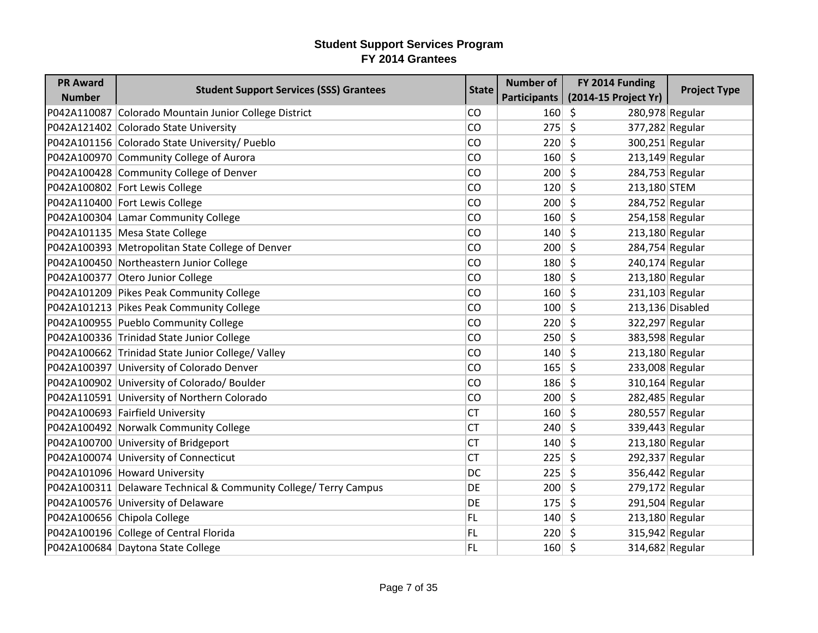| <b>PR Award</b> | <b>Student Support Services (SSS) Grantees</b>                   | <b>State</b> | <b>Number of</b> | FY 2014 Funding              | <b>Project Type</b> |
|-----------------|------------------------------------------------------------------|--------------|------------------|------------------------------|---------------------|
| <b>Number</b>   |                                                                  |              | Participants     | (2014-15 Project Yr)         |                     |
|                 | P042A110087 Colorado Mountain Junior College District            | CO           | 160              | $\zeta$<br>280,978 Regular   |                     |
|                 | P042A121402 Colorado State University                            | CO           | 275              | \$<br>377,282 Regular        |                     |
|                 | P042A101156 Colorado State University/ Pueblo                    | CO           | 220              | \$<br>300,251 Regular        |                     |
|                 | P042A100970 Community College of Aurora                          | CO           | 160              | \$<br>213,149 Regular        |                     |
|                 | P042A100428 Community College of Denver                          | CO           | 200              | \$<br>284,753 Regular        |                     |
|                 | P042A100802 Fort Lewis College                                   | CO           | 120              | \$<br>213,180 STEM           |                     |
|                 | P042A110400 Fort Lewis College                                   | CO           | 200              | \$<br>284,752 Regular        |                     |
|                 | P042A100304 Lamar Community College                              | CO           | 160              | \$<br>254,158 Regular        |                     |
|                 | P042A101135 Mesa State College                                   | CO           | 140              | \$<br>213,180 Regular        |                     |
|                 | P042A100393 Metropolitan State College of Denver                 | CO           | 200              | \$<br>284,754 Regular        |                     |
|                 | P042A100450 Northeastern Junior College                          | CO           | 180              | \$<br>240,174 Regular        |                     |
|                 | P042A100377 Otero Junior College                                 | CO           | 180              | $\zeta$<br>$213,180$ Regular |                     |
|                 | P042A101209 Pikes Peak Community College                         | CO           | 160              | \$<br>231,103 Regular        |                     |
|                 | P042A101213 Pikes Peak Community College                         | CO           | 100              | $\zeta$                      | 213,136 Disabled    |
|                 | P042A100955 Pueblo Community College                             | CO           | 220              | $\zeta$<br>322,297 Regular   |                     |
|                 | P042A100336 Trinidad State Junior College                        | CO           | 250              | \$<br>383,598 Regular        |                     |
|                 | P042A100662 Trinidad State Junior College/ Valley                | CO           | 140              | \$<br>213,180 Regular        |                     |
|                 | P042A100397 University of Colorado Denver                        | CO           | 165              | \$<br>233,008 Regular        |                     |
|                 | P042A100902 University of Colorado/ Boulder                      | CO           | 186              | $\zeta$<br>310,164 Regular   |                     |
|                 | P042A110591 University of Northern Colorado                      | CO           | 200              | \$<br>282,485 Regular        |                     |
|                 | P042A100693 Fairfield University                                 | <b>CT</b>    | 160              | \$<br>280,557 Regular        |                     |
|                 | P042A100492 Norwalk Community College                            | <b>CT</b>    | 240              | \$<br>339,443 Regular        |                     |
|                 | P042A100700 University of Bridgeport                             | <b>CT</b>    | 140              | \$<br>213,180 Regular        |                     |
|                 | P042A100074 University of Connecticut                            | <b>CT</b>    | 225              | \$<br>292,337 Regular        |                     |
|                 | P042A101096 Howard University                                    | DC           | 225              | \$<br>356,442 Regular        |                     |
|                 | P042A100311 Delaware Technical & Community College/ Terry Campus | DE           | 200              | \$<br>279,172 Regular        |                     |
|                 | P042A100576 University of Delaware                               | DE           | 175              | \$<br>291,504 Regular        |                     |
|                 | P042A100656 Chipola College                                      | <b>FL</b>    | 140              | \$<br>213,180 Regular        |                     |
|                 | P042A100196 College of Central Florida                           | FL           | 220              | \$<br>315,942 Regular        |                     |
|                 | P042A100684 Daytona State College                                | <b>FL</b>    | 160              | \$<br>314,682 Regular        |                     |
|                 |                                                                  |              |                  |                              |                     |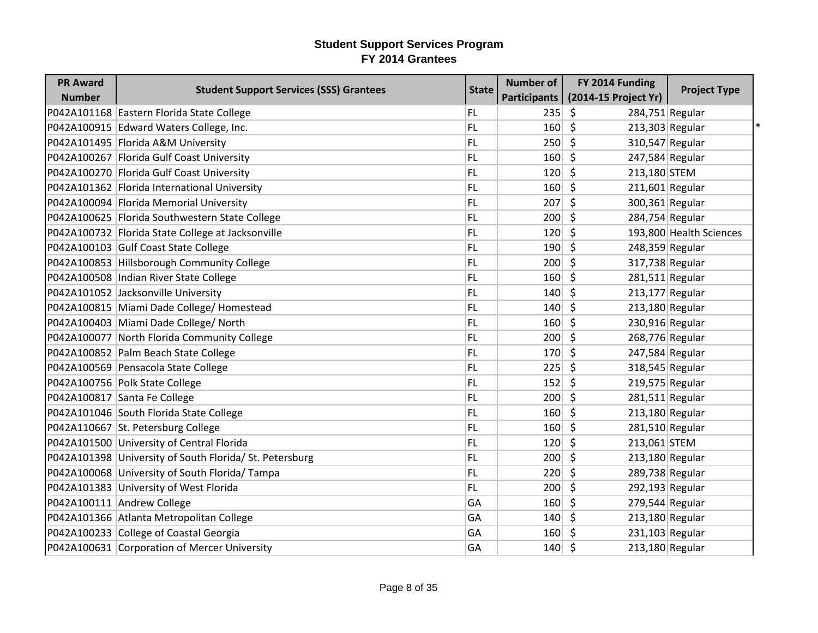| <b>PR Award</b> |                                                         |              | <b>Number of</b>    | FY 2014 Funding              |                         |
|-----------------|---------------------------------------------------------|--------------|---------------------|------------------------------|-------------------------|
| <b>Number</b>   | <b>Student Support Services (SSS) Grantees</b>          | <b>State</b> | <b>Participants</b> | (2014-15 Project Yr)         | <b>Project Type</b>     |
|                 | P042A101168 Eastern Florida State College               | FL           | 235                 | \$<br>284,751 Regular        |                         |
|                 | P042A100915 Edward Waters College, Inc.                 | FL           | 160                 | $\zeta$<br>213,303 Regular   |                         |
|                 | P042A101495 Florida A&M University                      | FL.          | 250                 | \$                           | 310,547 Regular         |
|                 | P042A100267 Florida Gulf Coast University               | FL           | 160                 | \$<br>247,584 Regular        |                         |
|                 | P042A100270 Florida Gulf Coast University               | FL           | 120                 | -\$<br>213,180 STEM          |                         |
|                 | P042A101362 Florida International University            | FL.          | 160                 | \$<br>$211,601$ Regular      |                         |
|                 | P042A100094 Florida Memorial University                 | FL.          | 207                 | \$<br>300,361 Regular        |                         |
|                 | P042A100625   Florida Southwestern State College        | FL.          | 200                 | \$<br>284,754 Regular        |                         |
|                 | P042A100732 Florida State College at Jacksonville       | FL.          | 120                 | \$                           | 193,800 Health Sciences |
|                 | P042A100103 Gulf Coast State College                    | FL           | 190                 | \$<br>248,359 Regular        |                         |
|                 | P042A100853 Hillsborough Community College              | FL.          | 200                 | \$                           | 317,738 Regular         |
|                 | P042A100508  Indian River State College                 | FL           | 160                 | \$<br>$281,511$ Regular      |                         |
|                 | P042A101052 Jacksonville University                     | FL           | 140                 | $\zeta$<br>$213,177$ Regular |                         |
|                 | P042A100815 Miami Dade College/ Homestead               | FL.          | 140                 | $\zeta$<br>213,180 Regular   |                         |
|                 | P042A100403 Miami Dade College/ North                   | FL           | 160                 | \$<br>230,916 Regular        |                         |
|                 | P042A100077 North Florida Community College             | FL           | 200                 | $\zeta$<br>268,776 Regular   |                         |
|                 | P042A100852 Palm Beach State College                    | FL.          | 170                 | \$<br>247,584 Regular        |                         |
|                 | P042A100569 Pensacola State College                     | FL.          | 225                 | \$                           | 318,545 Regular         |
|                 | P042A100756 Polk State College                          | FL           | 152                 | $\zeta$<br>219,575 Regular   |                         |
|                 | P042A100817 Santa Fe College                            | FL.          | 200                 | \$<br>$281,511$ Regular      |                         |
|                 | P042A101046 South Florida State College                 | FL.          | 160                 | \$<br>213,180 Regular        |                         |
|                 | P042A110667 St. Petersburg College                      | FL           | 160                 | \$<br>$281,510$ Regular      |                         |
|                 | P042A101500 University of Central Florida               | FL.          | 120                 | \$<br>213,061 STEM           |                         |
|                 | P042A101398 University of South Florida/ St. Petersburg | FL.          | 200                 | \$<br>213,180 Regular        |                         |
|                 | P042A100068 University of South Florida/Tampa           | FL           | 220                 | $\zeta$<br>289,738 Regular   |                         |
|                 | P042A101383 University of West Florida                  | FL           | 200                 | \$<br>292,193 Regular        |                         |
|                 | P042A100111 Andrew College                              | GA           | 160                 | \$<br>$279,544$ Regular      |                         |
|                 | P042A101366 Atlanta Metropolitan College                | GA           | 140                 | $\zeta$<br>213,180 Regular   |                         |
|                 | P042A100233 College of Coastal Georgia                  | GA           | 160                 | 231,103 Regular<br>-S        |                         |
|                 | P042A100631 Corporation of Mercer University            | GA           | $140 \mid 5$        | 213,180 Regular              |                         |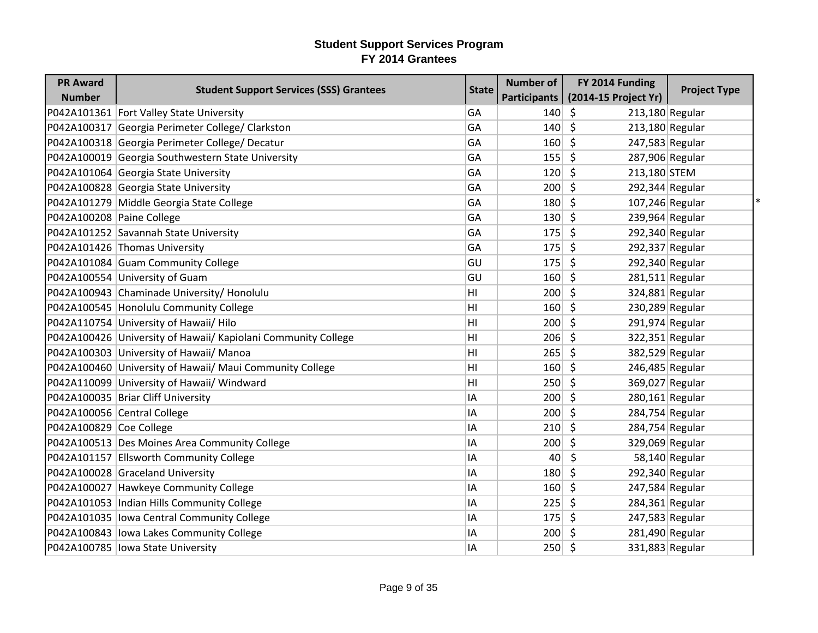| <b>PR Award</b>           | <b>Student Support Services (SSS) Grantees</b>                | <b>State</b> | <b>Number of</b> | FY 2014 Funding            | <b>Project Type</b> |
|---------------------------|---------------------------------------------------------------|--------------|------------------|----------------------------|---------------------|
| <b>Number</b>             |                                                               |              | Participants     | (2014-15 Project Yr)       |                     |
|                           | P042A101361 Fort Valley State University                      | GA           | 140              | \$<br>213,180 Regular      |                     |
|                           | P042A100317 Georgia Perimeter College/ Clarkston              | GA           | 140              | \$<br>213,180 Regular      |                     |
|                           | P042A100318 Georgia Perimeter College/ Decatur                | GA           | 160              | \$<br>247,583 Regular      |                     |
|                           | P042A100019 Georgia Southwestern State University             | GA           | 155              | \$<br>287,906 Regular      |                     |
|                           | P042A101064 Georgia State University                          | GA           | 120              | \$<br>213,180 STEM         |                     |
|                           | P042A100828 Georgia State University                          | GA           | 200              | \$<br>292,344 Regular      |                     |
|                           | P042A101279 Middle Georgia State College                      | GA           | 180              | \$<br>107,246 Regular      |                     |
| P042A100208 Paine College |                                                               | GA           | 130              | \$<br>239,964 Regular      |                     |
|                           | P042A101252 Savannah State University                         | GA           | 175              | \$<br>292,340 Regular      |                     |
|                           | P042A101426 Thomas University                                 | GA           | 175              | \$<br>292,337 Regular      |                     |
|                           | P042A101084 Guam Community College                            | GU           | 175              | \$<br>292,340 Regular      |                     |
|                           | P042A100554 University of Guam                                | GU           | 160              | \$<br>281,511 Regular      |                     |
|                           | P042A100943 Chaminade University/ Honolulu                    | HI           | 200              | \$<br>324,881 Regular      |                     |
|                           | P042A100545 Honolulu Community College                        | HI           | 160              | $\zeta$<br>230,289 Regular |                     |
|                           | P042A110754 University of Hawaii/ Hilo                        | HI           | 200              | \$<br>291,974 Regular      |                     |
|                           | P042A100426 University of Hawaii/ Kapiolani Community College | HI           | 206              | \$<br>322,351 Regular      |                     |
|                           | P042A100303 University of Hawaii/ Manoa                       | HI           | 265              | \$<br>382,529 Regular      |                     |
|                           | P042A100460 University of Hawaii/ Maui Community College      | HI           | 160              | \$<br>246,485 Regular      |                     |
|                           | P042A110099 University of Hawaii/ Windward                    | HI           | 250              | \$<br>369,027 Regular      |                     |
|                           | P042A100035 Briar Cliff University                            | ΙA           | 200              | \$<br>$280,161$ Regular    |                     |
|                           | P042A100056 Central College                                   | ΙA           | 200              | \$<br>284,754 Regular      |                     |
| P042A100829 Coe College   |                                                               | ΙA           | 210              | \$<br>284,754 Regular      |                     |
|                           | P042A100513 Des Moines Area Community College                 | ΙA           | 200              | \$<br>329,069 Regular      |                     |
|                           | P042A101157 Ellsworth Community College                       | ΙA           | 40               | \$                         | $58,140$ Regular    |
|                           | P042A100028 Graceland University                              | ΙA           | 180              | \$<br>292,340 Regular      |                     |
|                           | P042A100027 Hawkeye Community College                         | IA           | 160              | \$<br>247,584 Regular      |                     |
|                           | P042A101053  Indian Hills Community College                   | ΙA           | 225              | \$<br>284,361 Regular      |                     |
|                           | P042A101035 lowa Central Community College                    | IA           | 175              | \$<br>247,583 Regular      |                     |
|                           | P042A100843 lowa Lakes Community College                      | ΙA           | 200              | 281,490 Regular<br>\$      |                     |
|                           | P042A100785 lowa State University                             | ΙA           | 250              | $\zeta$<br>331,883 Regular |                     |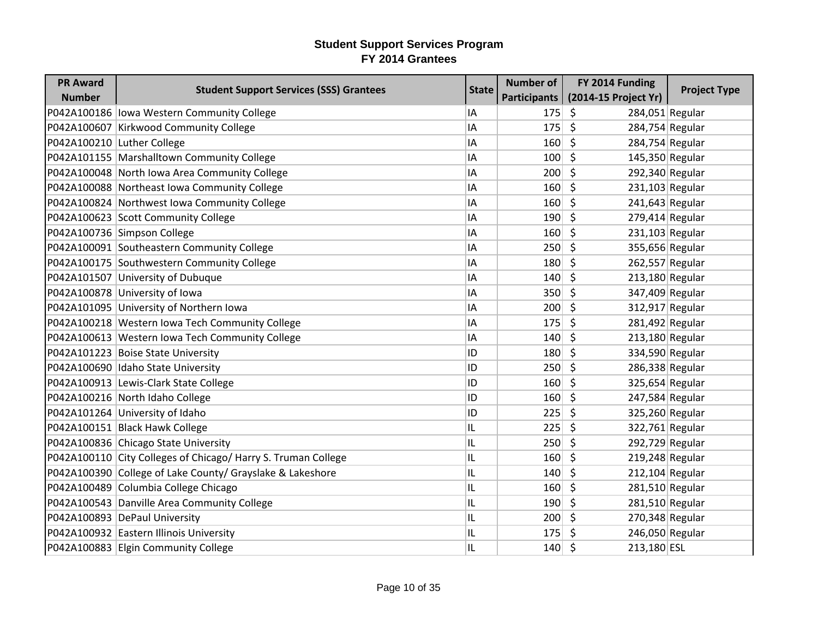| <b>PR Award</b>            | <b>Student Support Services (SSS) Grantees</b>                | <b>State</b> | <b>Number of</b> | FY 2014 Funding              | <b>Project Type</b> |
|----------------------------|---------------------------------------------------------------|--------------|------------------|------------------------------|---------------------|
| <b>Number</b>              |                                                               |              | Participants     | (2014-15 Project Yr)         |                     |
|                            | P042A100186 lowa Western Community College                    | IA           | 175              | \$<br>284,051 Regular        |                     |
|                            | P042A100607 Kirkwood Community College                        | IA           | 175              | \$<br>284,754 Regular        |                     |
| P042A100210 Luther College |                                                               | IA           | 160              | $\zeta$<br>284,754 Regular   |                     |
|                            | P042A101155 Marshalltown Community College                    | IA           | 100              | S.<br>145,350 Regular        |                     |
|                            | P042A100048 North Iowa Area Community College                 | IA           | 200              | \$<br>292,340 Regular        |                     |
|                            | P042A100088 Northeast Iowa Community College                  | IA           | 160              | $\zeta$<br>$231,103$ Regular |                     |
|                            | P042A100824 Northwest Iowa Community College                  | IA           | 160              | 241,643 Regular<br>\$        |                     |
|                            | P042A100623 Scott Community College                           | ΙA           | 190              | \$<br>$279,414$ Regular      |                     |
|                            | P042A100736 Simpson College                                   | IA           | 160              | $\zeta$<br>231,103 Regular   |                     |
|                            | P042A100091 Southeastern Community College                    | IA           | 250              | \$<br>355,656 Regular        |                     |
|                            | P042A100175 Southwestern Community College                    | ΙA           | 180              | 262,557 Regular<br>S.        |                     |
|                            | P042A101507 University of Dubuque                             | ΙA           | 140              | \$<br>$213,180$ Regular      |                     |
|                            | P042A100878 University of Iowa                                | IA           | 350              | $\zeta$<br>347,409 Regular   |                     |
|                            | P042A101095 University of Northern Iowa                       | IA           | 200              | \$<br>312,917 Regular        |                     |
|                            | P042A100218 Western Iowa Tech Community College               | IA           | 175              | $\zeta$<br>281,492 Regular   |                     |
|                            | P042A100613 Western Iowa Tech Community College               | IA           | 140              | $\zeta$<br>213,180 Regular   |                     |
|                            | P042A101223 Boise State University                            | ID           | 180              | 334,590 Regular<br>S.        |                     |
|                            | P042A100690 Idaho State University                            | ID           | 250              | \$<br>286,338 Regular        |                     |
|                            | P042A100913 Lewis-Clark State College                         | ID           | 160              | $\zeta$<br>325,654 Regular   |                     |
|                            | P042A100216 North Idaho College                               | ID           | 160              | \$<br>247,584 Regular        |                     |
|                            | P042A101264 University of Idaho                               | ID           | 225              | $\zeta$<br>325,260 Regular   |                     |
|                            | P042A100151 Black Hawk College                                | IL           | 225              | $\zeta$<br>322,761 Regular   |                     |
|                            | P042A100836 Chicago State University                          | IL           | 250              | \$<br>292,729 Regular        |                     |
|                            | P042A100110 City Colleges of Chicago/ Harry S. Truman College | IL           | 160              | \$<br>219,248 Regular        |                     |
|                            | P042A100390 College of Lake County/ Grayslake & Lakeshore     | IL           | 140              | \$<br>$212,104$ Regular      |                     |
|                            | P042A100489 Columbia College Chicago                          | IL           | 160              | $\zeta$<br>281,510 Regular   |                     |
|                            | P042A100543 Danville Area Community College                   | IL           | 190              | \$<br>281,510 Regular        |                     |
|                            | P042A100893 DePaul University                                 | IL           | 200              | $\zeta$<br>270,348 Regular   |                     |
|                            | P042A100932 Eastern Illinois University                       | IL           | 175              | \$<br>246,050 Regular        |                     |
|                            | P042A100883 Elgin Community College                           | IL           | 140              | \$<br>213,180 ESL            |                     |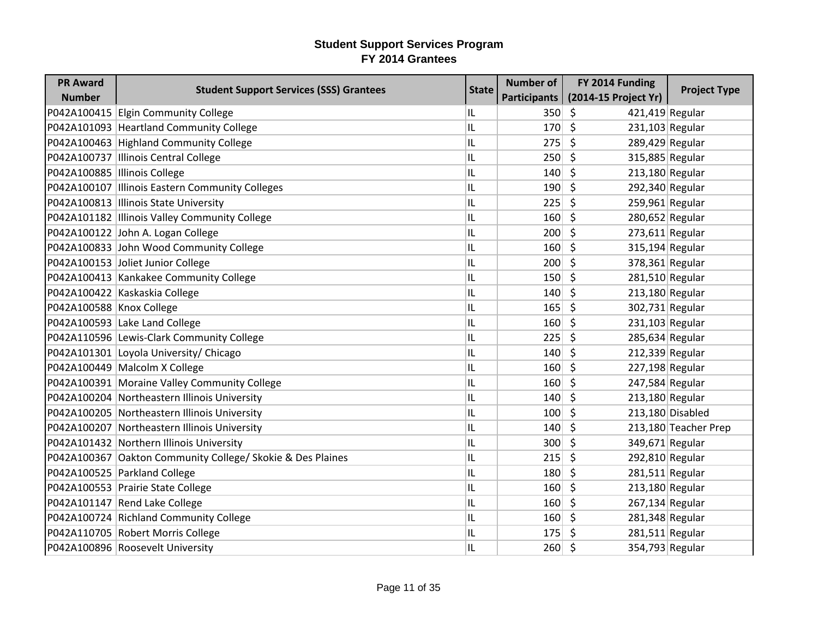| <b>PR Award</b>               | <b>Student Support Services (SSS) Grantees</b>             | <b>State</b> | <b>Number of</b> | FY 2014 Funding              | <b>Project Type</b>  |
|-------------------------------|------------------------------------------------------------|--------------|------------------|------------------------------|----------------------|
| <b>Number</b>                 |                                                            |              | Participants     | (2014-15 Project Yr)         |                      |
|                               | P042A100415 Elgin Community College                        | IL.          | 350              | \$<br>$421,419$ Regular      |                      |
|                               | P042A101093 Heartland Community College                    | IL           | 170              | $\zeta$<br>$231,103$ Regular |                      |
|                               | P042A100463 Highland Community College                     | IL           | 275              | \$<br>289,429 Regular        |                      |
|                               | P042A100737 Illinois Central College                       | IL           | 250              | \$<br>315,885 Regular        |                      |
| P042A100885  Illinois College |                                                            | IL           | 140              | $\zeta$<br>213,180 Regular   |                      |
|                               | P042A100107   Illinois Eastern Community Colleges          | IL           | 190              | \$<br>292,340 Regular        |                      |
|                               | P042A100813 Illinois State University                      | IL           | 225              | \$<br>$259,961$ Regular      |                      |
|                               | P042A101182 Illinois Valley Community College              | IL           | 160              | \$                           | 280,652 Regular      |
|                               | P042A100122 John A. Logan College                          | IL           | 200              | \$<br>$273,611$ Regular      |                      |
|                               | P042A100833 John Wood Community College                    | IL           | 160              | 315,194 Regular<br>\$        |                      |
|                               | P042A100153 Joliet Junior College                          | IL           | 200              | \$<br>378,361 Regular        |                      |
|                               | P042A100413 Kankakee Community College                     | IL           | 150              | \$<br>$281,510$ Regular      |                      |
|                               | P042A100422 Kaskaskia College                              | IL           | 140              | \$<br>213,180 Regular        |                      |
| P042A100588 Knox College      |                                                            | IL           | 165              | \$<br>302,731 Regular        |                      |
|                               | P042A100593 Lake Land College                              | IL           | 160              | \$<br>$231,103$ Regular      |                      |
|                               | P042A110596 Lewis-Clark Community College                  | IL           | 225              | \$<br>285,634 Regular        |                      |
|                               | P042A101301 Loyola University/ Chicago                     | IL           | 140              | \$<br>212,339 Regular        |                      |
|                               | P042A100449 Malcolm X College                              | IL           | 160              | $\zeta$<br>227,198 Regular   |                      |
|                               | P042A100391 Moraine Valley Community College               | IL           | 160              | \$<br>247,584 Regular        |                      |
|                               | P042A100204 Northeastern Illinois University               | IL           | 140              | \$<br>213,180 Regular        |                      |
|                               | P042A100205 Northeastern Illinois University               | IL           | 100              | $\zeta$                      | 213,180 Disabled     |
|                               | P042A100207 Northeastern Illinois University               | IL           | 140              | \$                           | 213,180 Teacher Prep |
|                               | P042A101432 Northern Illinois University                   | IL           | 300              | \$<br>349,671 Regular        |                      |
|                               | P042A100367 Oakton Community College/ Skokie & Des Plaines | IL           | 215              | \$<br>292,810 Regular        |                      |
|                               | P042A100525 Parkland College                               | IL           | 180              | \$<br>$281,511$ Regular      |                      |
|                               | P042A100553 Prairie State College                          | IL           | 160              | \$<br>213,180 Regular        |                      |
|                               | P042A101147 Rend Lake College                              | IL           | 160              | \$                           | $267,134$ Regular    |
|                               | P042A100724 Richland Community College                     | IL           | 160              | \$<br>281,348 Regular        |                      |
|                               | P042A110705 Robert Morris College                          | IL           | 175              | $281,511$ Regular<br>Ŝ.      |                      |
|                               | P042A100896 Roosevelt University                           | IL           | $260 \mid 5$     | 354,793 Regular              |                      |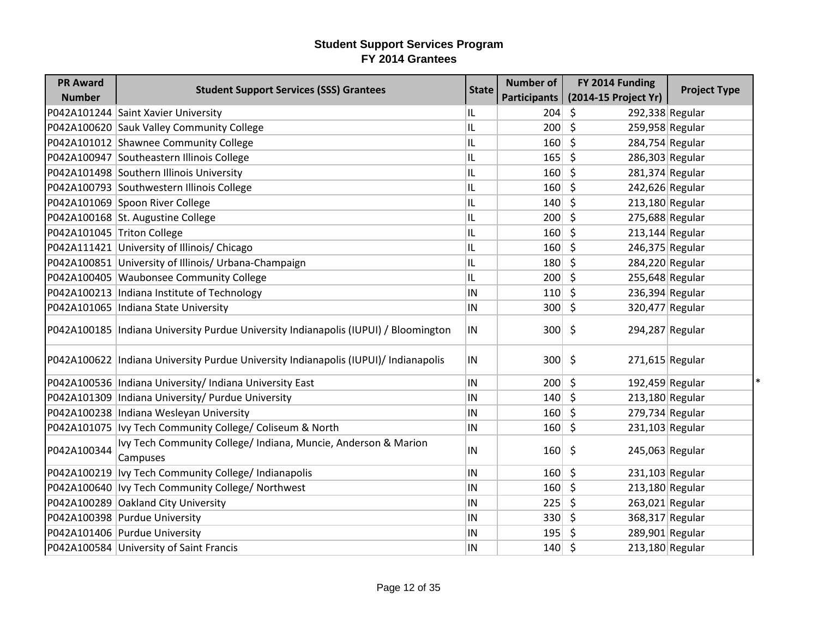| <b>PR Award</b>            |                                                                                      |              | <b>Number of</b>    | FY 2014 Funding              |                     |
|----------------------------|--------------------------------------------------------------------------------------|--------------|---------------------|------------------------------|---------------------|
| <b>Number</b>              | <b>Student Support Services (SSS) Grantees</b>                                       | <b>State</b> | <b>Participants</b> | (2014-15 Project Yr)         | <b>Project Type</b> |
|                            | P042A101244 Saint Xavier University                                                  | IL           | 204                 | \$<br>292,338 Regular        |                     |
|                            | P042A100620 Sauk Valley Community College                                            | IL           | 200                 | \$<br>259,958 Regular        |                     |
|                            | P042A101012 Shawnee Community College                                                | IL           | 160                 | \$<br>284,754 Regular        |                     |
|                            | P042A100947 Southeastern Illinois College                                            | IL           | 165                 | \$<br>286,303 Regular        |                     |
|                            | P042A101498 Southern Illinois University                                             | IL           | 160                 | \$<br>281,374 Regular        |                     |
|                            | P042A100793 Southwestern Illinois College                                            | IL           | 160                 | \$<br>242,626 Regular        |                     |
|                            | P042A101069 Spoon River College                                                      | IL           | 140                 | \$<br>213,180 Regular        |                     |
|                            | P042A100168 St. Augustine College                                                    | IL           | 200                 | \$<br>275,688 Regular        |                     |
| P042A101045 Triton College |                                                                                      | IL           | 160                 | \$<br>$213,144$ Regular      |                     |
|                            | P042A111421 University of Illinois/ Chicago                                          | IL           | 160                 | \$<br>246,375 Regular        |                     |
|                            | P042A100851 University of Illinois/ Urbana-Champaign                                 | IL           | 180                 | Ŝ.<br>284,220 Regular        |                     |
|                            | P042A100405 Waubonsee Community College                                              | IL           | 200                 | \$<br>255,648 Regular        |                     |
|                            | P042A100213  Indiana Institute of Technology                                         | İN           | 110                 | \$<br>236,394 Regular        |                     |
|                            | P042A101065   Indiana State University                                               | IN           | 300                 | \$<br>320,477 Regular        |                     |
|                            | P042A100185  Indiana University Purdue University Indianapolis (IUPUI) / Bloomington | IN           | 300                 | \$<br>294,287 Regular        |                     |
|                            | P042A100622 Indiana University Purdue University Indianapolis (IUPUI)/ Indianapolis  | IN           | $300 \mid 5$        | 271,615 Regular              |                     |
|                            | P042A100536   Indiana University / Indiana University East                           | IN           | 200                 | $\zeta$<br>192,459 Regular   |                     |
|                            | P042A101309   Indiana University / Purdue University                                 | ${\sf IN}$   | 140                 | \$<br>213,180 Regular        |                     |
|                            | P042A100238 Indiana Wesleyan University                                              | IN           | 160                 | \$<br>279,734 Regular        |                     |
|                            | P042A101075   Ivy Tech Community College/ Coliseum & North                           | İN           | 160                 | \$<br>$231,103$ Regular      |                     |
| P042A100344                | Ivy Tech Community College/ Indiana, Muncie, Anderson & Marion<br>Campuses           | IN           | 160                 | \$<br>245,063 Regular        |                     |
|                            | P042A100219   Ivy Tech Community College/ Indianapolis                               | IN           | 160                 | $\zeta$<br>$231,103$ Regular |                     |
|                            | P042A100640   Ivy Tech Community College/ Northwest                                  | IN           | 160                 | \$<br>213,180 Regular        |                     |
|                            | P042A100289 Oakland City University                                                  | IN           | 225                 | \$<br>263,021 Regular        |                     |
|                            | P042A100398 Purdue University                                                        | IN           | 330                 | \$<br>368,317 Regular        |                     |
|                            | P042A101406 Purdue University                                                        | IN           | 195                 | 289,901 Regular<br>\$        |                     |
|                            | P042A100584 University of Saint Francis                                              | IN           | 140                 | $\zeta$<br>213,180 Regular   |                     |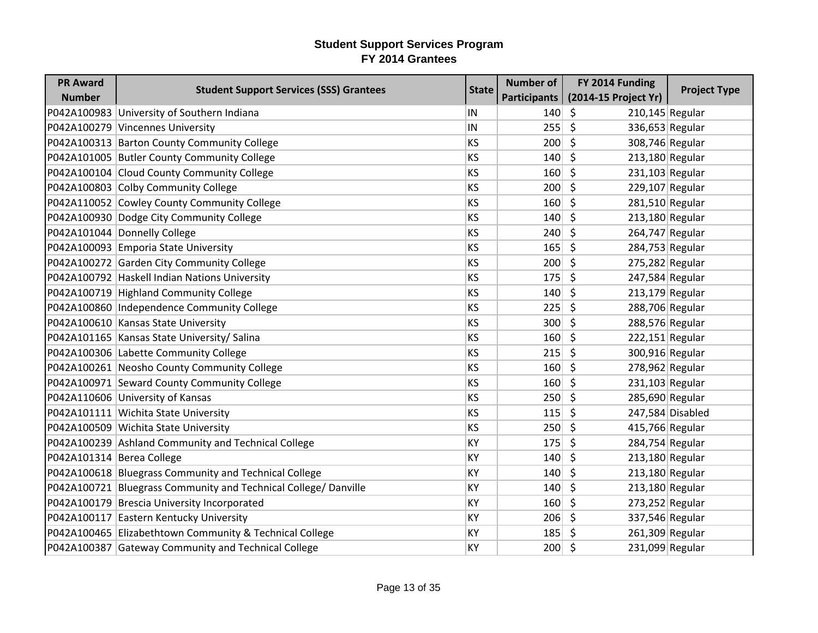| <b>PR Award</b>           | <b>Student Support Services (SSS) Grantees</b>                  | <b>State</b> | <b>Number of</b> | FY 2014 Funding              | <b>Project Type</b> |
|---------------------------|-----------------------------------------------------------------|--------------|------------------|------------------------------|---------------------|
| <b>Number</b>             |                                                                 |              | Participants     | (2014-15 Project Yr)         |                     |
|                           | P042A100983 University of Southern Indiana                      | IN           | 140              | \$<br>$210,145$ Regular      |                     |
|                           | P042A100279 Vincennes University                                | IN           | 255              | \$<br>336,653 Regular        |                     |
|                           | P042A100313 Barton County Community College                     | KS           | 200              | \$<br>308,746 Regular        |                     |
|                           | P042A101005 Butler County Community College                     | <b>KS</b>    | 140              | \$<br>$213,180$ Regular      |                     |
|                           | P042A100104 Cloud County Community College                      | <b>KS</b>    | 160              | $\zeta$<br>$231,103$ Regular |                     |
|                           | P042A100803 Colby Community College                             | KS           | 200              | \$<br>229,107 Regular        |                     |
|                           | P042A110052 Cowley County Community College                     | KS           | 160              | \$<br>$281,510$ Regular      |                     |
|                           | P042A100930 Dodge City Community College                        | <b>KS</b>    | 140              | \$<br>$213,180$ Regular      |                     |
|                           | P042A101044 Donnelly College                                    | KS           | 240              | $\zeta$<br>264,747 Regular   |                     |
|                           | P042A100093 Emporia State University                            | <b>KS</b>    | 165              | \$<br>284,753 Regular        |                     |
|                           | P042A100272 Garden City Community College                       | <b>KS</b>    | 200              | $\zeta$<br>275,282 Regular   |                     |
|                           | P042A100792 Haskell Indian Nations University                   | <b>KS</b>    | 175              | $\zeta$<br>247,584 Regular   |                     |
|                           | P042A100719 Highland Community College                          | KS           | 140              | $213,179$ Regular<br>\$      |                     |
|                           | P042A100860 Independence Community College                      | <b>KS</b>    | 225              | \$<br>288,706 Regular        |                     |
|                           | P042A100610 Kansas State University                             | <b>KS</b>    | 300              | \$<br>288,576 Regular        |                     |
|                           | P042A101165 Kansas State University/ Salina                     | KS           | 160              | \$<br>$222,151$ Regular      |                     |
|                           | P042A100306 Labette Community College                           | <b>KS</b>    | 215              | \$<br>300,916 Regular        |                     |
|                           | P042A100261 Neosho County Community College                     | <b>KS</b>    | 160              | $\zeta$<br>278,962 Regular   |                     |
|                           | P042A100971 Seward County Community College                     | KS           | 160              | \$<br>$231,103$ Regular      |                     |
|                           | P042A110606 University of Kansas                                | <b>KS</b>    | 250              | \$<br>285,690 Regular        |                     |
|                           | P042A101111 Wichita State University                            | <b>KS</b>    | 115              | \$                           | 247,584 Disabled    |
|                           | P042A100509 Wichita State University                            | KS           | 250              | $\zeta$<br>415,766 Regular   |                     |
|                           | P042A100239 Ashland Community and Technical College             | KY           | 175              | Ś.<br>284,754 Regular        |                     |
| P042A101314 Berea College |                                                                 | KY           | 140              | \$<br>$213,180$ Regular      |                     |
|                           | P042A100618 Bluegrass Community and Technical College           | KY           | 140              | $\zeta$<br>$213,180$ Regular |                     |
|                           | P042A100721 Bluegrass Community and Technical College/ Danville | KY           | 140              | \$<br>213,180 Regular        |                     |
|                           | P042A100179 Brescia University Incorporated                     | KY           | 160              | \$<br>$273,252$ Regular      |                     |
|                           | P042A100117 Eastern Kentucky University                         | KY           | 206              | \$<br>337,546 Regular        |                     |
|                           | P042A100465 Elizabethtown Community & Technical College         | KY           | 185              | 261,309 Regular<br>\$        |                     |
|                           | P042A100387 Gateway Community and Technical College             | KY           | $200 \mid 5$     | 231,099 Regular              |                     |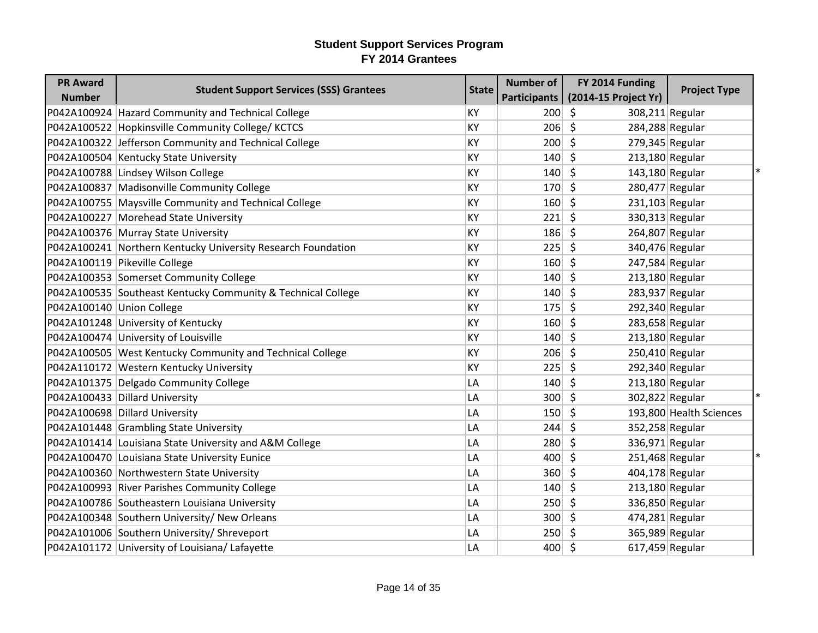| <b>PR Award</b>           | <b>Student Support Services (SSS) Grantees</b>               | <b>State</b> | <b>Number of</b> | FY 2014 Funding              | <b>Project Type</b>     |
|---------------------------|--------------------------------------------------------------|--------------|------------------|------------------------------|-------------------------|
| <b>Number</b>             |                                                              |              | Participants     | (2014-15 Project Yr)         |                         |
|                           | P042A100924 Hazard Community and Technical College           | KY           | 200              | \$<br>308,211 Regular        |                         |
|                           | P042A100522 Hopkinsville Community College/KCTCS             | KY           | 206              | \$<br>284,288 Regular        |                         |
|                           | P042A100322 Jefferson Community and Technical College        | KY           | 200              | \$<br>279,345 Regular        |                         |
|                           | P042A100504 Kentucky State University                        | KY           | 140              | $\zeta$<br>$213,180$ Regular |                         |
|                           | P042A100788 Lindsey Wilson College                           | KY           | 140              | \$<br>143,180 Regular        |                         |
|                           | P042A100837 Madisonville Community College                   | KY           | 170              | $\zeta$<br>280,477 Regular   |                         |
|                           | P042A100755   Maysville Community and Technical College      | KY           | 160              | \$<br>231,103 Regular        |                         |
|                           | P042A100227 Morehead State University                        | KY           | 221              | \$<br>330,313 Regular        |                         |
|                           | P042A100376 Murray State University                          | <b>KY</b>    | 186              | \$<br>264,807 Regular        |                         |
|                           | P042A100241 Northern Kentucky University Research Foundation | KY           | 225              | \$<br>340,476 Regular        |                         |
|                           | P042A100119 Pikeville College                                | KY           | 160              | \$.<br>247,584 Regular       |                         |
|                           | P042A100353 Somerset Community College                       | KY           | 140              | \$<br>213,180 Regular        |                         |
|                           | P042A100535 Southeast Kentucky Community & Technical College | KY           | 140              | \$<br>283,937 Regular        |                         |
| P042A100140 Union College |                                                              | KY           | 175              | \$<br>292,340 Regular        |                         |
|                           | P042A101248 University of Kentucky                           | KY           | 160              | \$<br>283,658 Regular        |                         |
|                           | P042A100474 University of Louisville                         | KY           | 140              | \$<br>$213,180$ Regular      |                         |
|                           | P042A100505 West Kentucky Community and Technical College    | KY           | 206              | \$<br>250,410 Regular        |                         |
|                           | P042A110172 Western Kentucky University                      | KY           | 225              | \$<br>292,340 Regular        |                         |
|                           | P042A101375 Delgado Community College                        | LA           | 140              | $\zeta$<br>213,180 Regular   |                         |
|                           | P042A100433 Dillard University                               | LA           | 300              | \$<br>302,822 Regular        |                         |
|                           | P042A100698 Dillard University                               | LA           | 150              | \$                           | 193,800 Health Sciences |
|                           | P042A101448 Grambling State University                       | LA           | 244              | $\zeta$<br>352,258 Regular   |                         |
|                           | P042A101414 Louisiana State University and A&M College       | LA           | 280              | \$<br>336,971 Regular        |                         |
|                           | P042A100470 Louisiana State University Eunice                | LA           | 400              | \$<br>251,468 Regular        |                         |
|                           | P042A100360 Northwestern State University                    | LA           | 360              | $\zeta$<br>404,178 Regular   |                         |
|                           | P042A100993 River Parishes Community College                 | LA           | 140              | \$<br>213,180 Regular        |                         |
|                           | P042A100786 Southeastern Louisiana University                | LA           | 250              | \$<br>336,850 Regular        |                         |
|                           | P042A100348 Southern University/ New Orleans                 | LA           | 300              | $\zeta$<br>474,281 Regular   |                         |
|                           | P042A101006 Southern University/ Shreveport                  | LA           | 250              | 365,989 Regular<br>\$        |                         |
|                           | P042A101172 University of Louisiana/ Lafayette               | LA           | 400              | $\zeta$<br>617,459 Regular   |                         |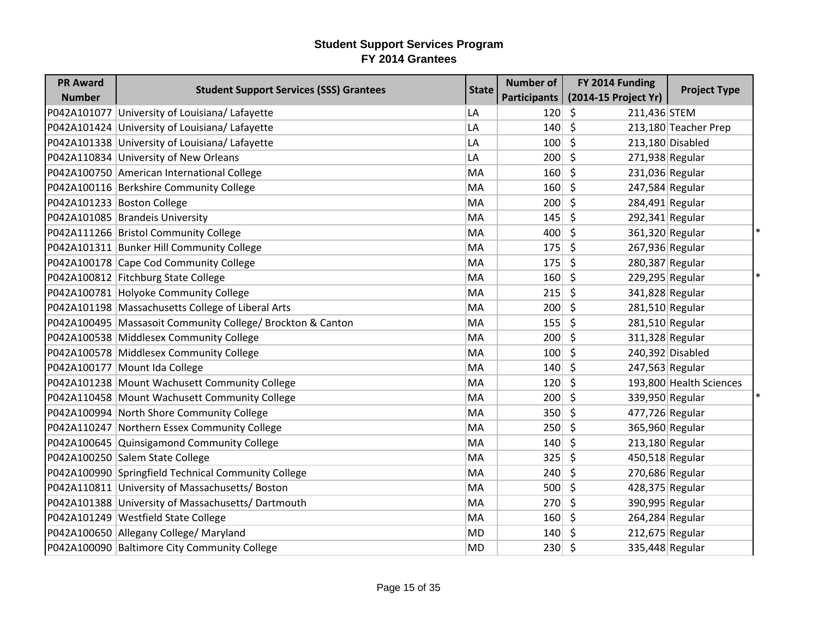| <b>PR Award</b> | <b>Student Support Services (SSS) Grantees</b>               | <b>State</b> | <b>Number of</b> | FY 2014 Funding            | <b>Project Type</b>     |
|-----------------|--------------------------------------------------------------|--------------|------------------|----------------------------|-------------------------|
| <b>Number</b>   |                                                              |              | Participants     | (2014-15 Project Yr)       |                         |
|                 | P042A101077 University of Louisiana/ Lafayette               | LA           | 120              | \$<br>211,436 STEM         |                         |
|                 | P042A101424 University of Louisiana/ Lafayette               | LA           | 140              | \$                         | 213,180 Teacher Prep    |
|                 | P042A101338 University of Louisiana/ Lafayette               | LA           | 100              | \$                         | 213,180 Disabled        |
|                 | P042A110834 University of New Orleans                        | LA           | 200              | \$<br>271,938 Regular      |                         |
|                 | P042A100750 American International College                   | МA           | 160              | \$<br>231,036 Regular      |                         |
|                 | P042A100116 Berkshire Community College                      | МA           | 160              | $\zeta$<br>247,584 Regular |                         |
|                 | P042A101233 Boston College                                   | MA           | 200              | \$<br>284,491 Regular      |                         |
|                 | P042A101085 Brandeis University                              | MA           | 145              | \$<br>292,341 Regular      |                         |
|                 | P042A111266   Bristol Community College                      | MA           | 400              | \$<br>361,320 Regular      |                         |
|                 | P042A101311 Bunker Hill Community College                    | MA           | 175              | \$<br>267,936 Regular      |                         |
|                 | P042A100178 Cape Cod Community College                       | MA           | 175              | 280,387 Regular<br>\$      |                         |
|                 | P042A100812 Fitchburg State College                          | MA           | 160              | \$<br>229,295 Regular      |                         |
|                 | P042A100781 Holyoke Community College                        | MA           | 215              | \$<br>341,828 Regular      |                         |
|                 | P042A101198 Massachusetts College of Liberal Arts            | MA           | 200              | \$<br>281,510 Regular      |                         |
|                 | P042A100495   Massasoit Community College/ Brockton & Canton | MA           | 155              | \$<br>281,510 Regular      |                         |
|                 | P042A100538 Middlesex Community College                      | MA           | 200              | \$<br>311,328 Regular      |                         |
|                 | P042A100578 Middlesex Community College                      | МA           | 100              | \$                         | 240,392 Disabled        |
|                 | P042A100177 Mount Ida College                                | MA           | 140              | $\zeta$<br>247,563 Regular |                         |
|                 | P042A101238 Mount Wachusett Community College                | MA           | 120              | $\zeta$                    | 193,800 Health Sciences |
|                 | P042A110458 Mount Wachusett Community College                | MA           | 200              | \$<br>339,950 Regular      |                         |
|                 | P042A100994 North Shore Community College                    | MA           | 350              | \$<br>477,726 Regular      |                         |
|                 | P042A110247 Northern Essex Community College                 | MA           | 250              | $\zeta$<br>365,960 Regular |                         |
|                 | P042A100645 Quinsigamond Community College                   | МA           | 140              | \$<br>213,180 Regular      |                         |
|                 | P042A100250 Salem State College                              | MA           | 325              | \$<br>450,518 Regular      |                         |
|                 | P042A100990 Springfield Technical Community College          | MA           | 240              | $\zeta$<br>270,686 Regular |                         |
|                 | P042A110811 University of Massachusetts/ Boston              | MA           | 500              | \$<br>428,375 Regular      |                         |
|                 | P042A101388 University of Massachusetts/Dartmouth            | MA           | 270              | \$<br>390,995 Regular      |                         |
|                 | P042A101249 Westfield State College                          | MA           | 160              | \$<br>264,284 Regular      |                         |
|                 | P042A100650 Allegany College/ Maryland                       | MD           | 140              | \$<br>212,675 Regular      |                         |
|                 | P042A100090 Baltimore City Community College                 | <b>MD</b>    | 230              | \$<br>335,448 Regular      |                         |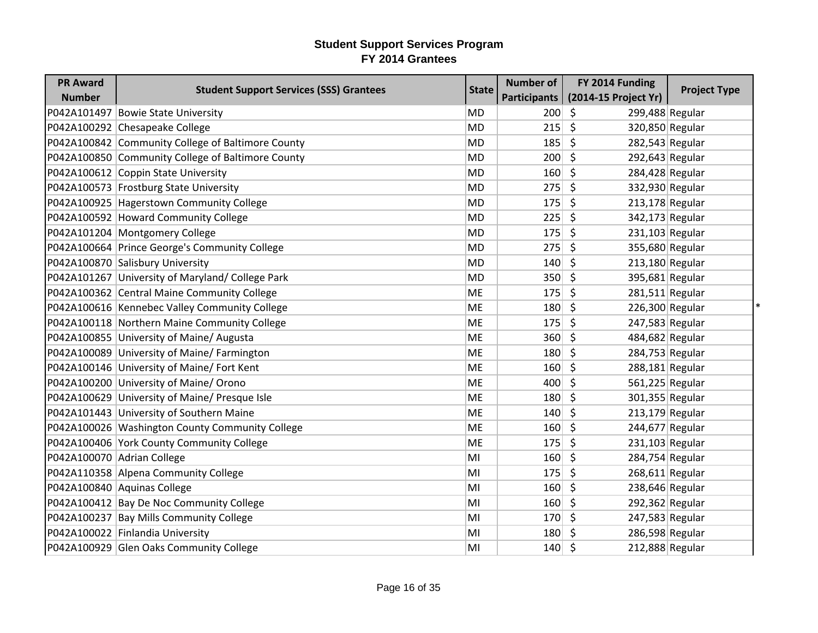| <b>PR Award</b> | <b>Student Support Services (SSS) Grantees</b>    | <b>State</b> | <b>Number of</b> | FY 2014 Funding            | <b>Project Type</b> |
|-----------------|---------------------------------------------------|--------------|------------------|----------------------------|---------------------|
| <b>Number</b>   |                                                   |              | Participants     | (2014-15 Project Yr)       |                     |
|                 | P042A101497 Bowie State University                | <b>MD</b>    | 200              | \$<br>299,488 Regular      |                     |
|                 | P042A100292 Chesapeake College                    | <b>MD</b>    | 215              | \$<br>320,850 Regular      |                     |
|                 | P042A100842 Community College of Baltimore County | <b>MD</b>    | 185              | \$<br>282,543 Regular      |                     |
|                 | P042A100850 Community College of Baltimore County | <b>MD</b>    | 200              | \$<br>292,643 Regular      |                     |
|                 | P042A100612 Coppin State University               | <b>MD</b>    | 160              | \$<br>284,428 Regular      |                     |
|                 | P042A100573 Frostburg State University            | <b>MD</b>    | 275              | \$<br>332,930 Regular      |                     |
|                 | P042A100925 Hagerstown Community College          | <b>MD</b>    | 175              | \$<br>213,178 Regular      |                     |
|                 | P042A100592 Howard Community College              | <b>MD</b>    | 225              | \$<br>342,173 Regular      |                     |
|                 | P042A101204 Montgomery College                    | <b>MD</b>    | 175              | \$<br>$231,103$ Regular    |                     |
|                 | P042A100664 Prince George's Community College     | <b>MD</b>    | 275              | \$<br>355,680 Regular      |                     |
|                 | P042A100870 Salisbury University                  | <b>MD</b>    | 140              | \$<br>213,180 Regular      |                     |
|                 | P042A101267 University of Maryland/ College Park  | <b>MD</b>    | 350              | \$<br>395,681 Regular      |                     |
|                 | P042A100362 Central Maine Community College       | ME           | 175              | \$<br>$281,511$ Regular    |                     |
|                 | P042A100616 Kennebec Valley Community College     | ME           | 180              | \$<br>226,300 Regular      |                     |
|                 | P042A100118 Northern Maine Community College      | <b>ME</b>    | 175              | \$<br>$247,583$ Regular    |                     |
|                 | P042A100855 University of Maine/ Augusta          | ME           | 360              | \$<br>484,682 Regular      |                     |
|                 | P042A100089 University of Maine/ Farmington       | ME           | 180              | \$<br>284,753 Regular      |                     |
|                 | P042A100146 University of Maine/ Fort Kent        | <b>ME</b>    | 160              | $\zeta$<br>288,181 Regular |                     |
|                 | P042A100200 University of Maine/ Orono            | ME           | 400              | \$<br>561,225 Regular      |                     |
|                 | P042A100629 University of Maine/ Presque Isle     | <b>ME</b>    | 180              | \$<br>301,355 Regular      |                     |
|                 | P042A101443 University of Southern Maine          | <b>ME</b>    | 140              | \$<br>213,179 Regular      |                     |
|                 | P042A100026 Washington County Community College   | <b>ME</b>    | 160              | \$<br>244,677 Regular      |                     |
|                 | P042A100406 York County Community College         | ME           | 175              | \$<br>231,103 Regular      |                     |
|                 | P042A100070 Adrian College                        | MI           | 160              | $\zeta$<br>284,754 Regular |                     |
|                 | P042A110358 Alpena Community College              | MI           | 175              | \$<br>268,611 Regular      |                     |
|                 | P042A100840 Aquinas College                       | MI           | 160              | \$<br>238,646 Regular      |                     |
|                 | P042A100412 Bay De Noc Community College          | MI           | 160              | $\zeta$<br>292,362 Regular |                     |
|                 | P042A100237 Bay Mills Community College           | MI           | 170              | \$<br>247,583 Regular      |                     |
|                 | P042A100022 Finlandia University                  | MI           | 180              | 286,598 Regular<br>\$      |                     |
|                 | P042A100929 Glen Oaks Community College           | MI           | 140              | $\zeta$<br>212,888 Regular |                     |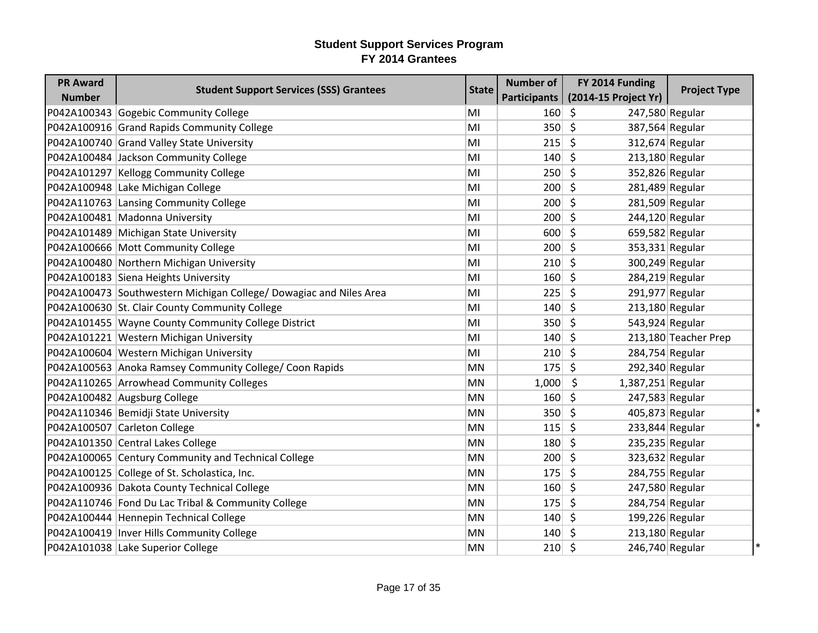| <b>PR Award</b> |                                                                    |              | <b>Number of</b>    | FY 2014 Funding         |                      |
|-----------------|--------------------------------------------------------------------|--------------|---------------------|-------------------------|----------------------|
| <b>Number</b>   | <b>Student Support Services (SSS) Grantees</b>                     | <b>State</b> | <b>Participants</b> | (2014-15 Project Yr)    | <b>Project Type</b>  |
|                 | P042A100343 Gogebic Community College                              | MI           | 160                 | \$<br>247,580 Regular   |                      |
|                 | P042A100916 Grand Rapids Community College                         | MI           | 350                 | \$<br>387,564 Regular   |                      |
|                 | P042A100740 Grand Valley State University                          | MI           | 215                 | \$<br>312,674 Regular   |                      |
|                 | P042A100484 Jackson Community College                              | MI           | 140                 | \$<br>213,180 Regular   |                      |
|                 | P042A101297 Kellogg Community College                              | MI           | 250                 | Ŝ.<br>352,826 Regular   |                      |
|                 | P042A100948 Lake Michigan College                                  | MI           | 200                 | \$<br>281,489 Regular   |                      |
|                 | P042A110763 Lansing Community College                              | MI           | 200                 | \$<br>281,509 Regular   |                      |
|                 | P042A100481 Madonna University                                     | MI           | 200                 | \$<br>244,120 Regular   |                      |
|                 | P042A101489 Michigan State University                              | MI           | 600                 | \$<br>659,582 Regular   |                      |
|                 | P042A100666 Mott Community College                                 | MI           | 200                 | \$<br>353,331 Regular   |                      |
|                 | P042A100480 Northern Michigan University                           | MI           | 210                 | \$<br>300,249 Regular   |                      |
|                 | P042A100183 Siena Heights University                               | MI           | 160                 | \$<br>284,219 Regular   |                      |
|                 | P042A100473 Southwestern Michigan College/ Dowagiac and Niles Area | MI           | 225                 | \$<br>291,977 Regular   |                      |
|                 | P042A100630 St. Clair County Community College                     | MI           | 140                 | \$<br>213,180 Regular   |                      |
|                 | P042A101455 Wayne County Community College District                | MI           | 350                 | \$<br>543,924 Regular   |                      |
|                 | P042A101221 Western Michigan University                            | MI           | 140                 | \$                      | 213,180 Teacher Prep |
|                 | P042A100604 Western Michigan University                            | MI           | 210                 | \$<br>284,754 Regular   |                      |
|                 | P042A100563 Anoka Ramsey Community College/ Coon Rapids            | <b>MN</b>    | 175                 | \$<br>292,340 Regular   |                      |
|                 | P042A110265 Arrowhead Community Colleges                           | MN           | 1,000               | \$<br>1,387,251 Regular |                      |
|                 | P042A100482 Augsburg College                                       | <b>MN</b>    | 160                 | \$<br>247,583 Regular   |                      |
|                 | P042A110346 Bemidji State University                               | <b>MN</b>    | 350                 | \$<br>405,873 Regular   |                      |
|                 | P042A100507 Carleton College                                       | MN           | 115                 | \$<br>233,844 Regular   |                      |
|                 | P042A101350 Central Lakes College                                  | <b>MN</b>    | 180                 | \$<br>235,235 Regular   |                      |
|                 | P042A100065 Century Community and Technical College                | <b>MN</b>    | 200                 | \$<br>323,632 Regular   |                      |
|                 | P042A100125 College of St. Scholastica, Inc.                       | MN           | 175                 | \$<br>284,755 Regular   |                      |
|                 | P042A100936 Dakota County Technical College                        | MN           | 160                 | \$.<br>247,580 Regular  |                      |
|                 | P042A110746 Fond Du Lac Tribal & Community College                 | <b>MN</b>    | 175                 | \$<br>284,754 Regular   |                      |
|                 | P042A100444 Hennepin Technical College                             | MN           | 140                 | \$<br>199,226 Regular   |                      |
|                 | P042A100419   Inver Hills Community College                        | MN           | 140                 | 213,180 Regular<br>\$.  |                      |
|                 | P042A101038 Lake Superior College                                  | <b>MN</b>    | 210                 | \$<br>246,740 Regular   |                      |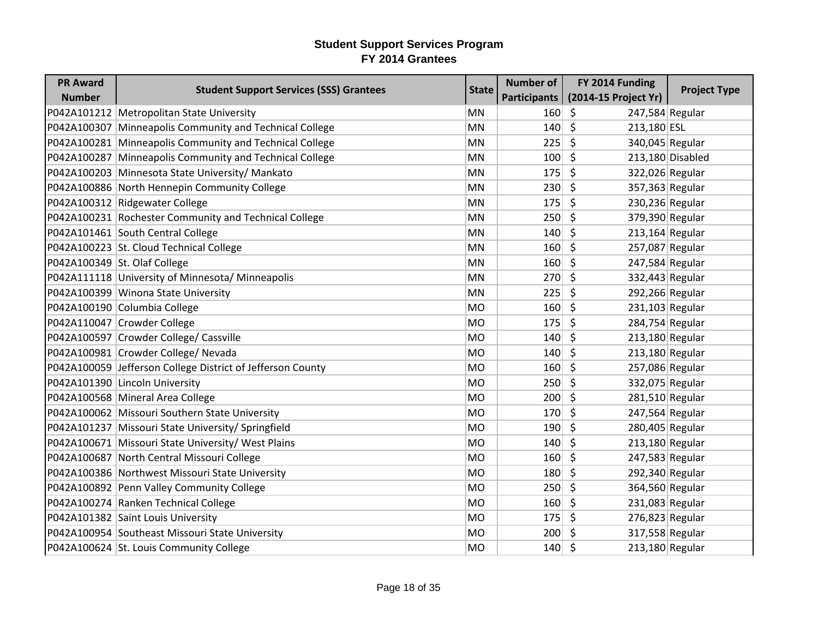| <b>PR Award</b> | <b>Student Support Services (SSS) Grantees</b>             | <b>State</b> | <b>Number of</b> | FY 2014 Funding                 | <b>Project Type</b> |
|-----------------|------------------------------------------------------------|--------------|------------------|---------------------------------|---------------------|
| <b>Number</b>   |                                                            |              | Participants     | (2014-15 Project Yr)            |                     |
|                 | P042A101212   Metropolitan State University                | <b>MN</b>    | 160              | \$<br>247,584 Regular           |                     |
|                 | P042A100307 Minneapolis Community and Technical College    | <b>MN</b>    | 140              | $\zeta$<br>213,180 ESL          |                     |
|                 | P042A100281 Minneapolis Community and Technical College    | MN           | 225              | \$<br>340,045 Regular           |                     |
|                 | P042A100287 Minneapolis Community and Technical College    | MN           | 100              | \$                              | 213,180 Disabled    |
|                 | P042A100203 Minnesota State University/ Mankato            | <b>MN</b>    | 175              | $\zeta$                         | 322,026 Regular     |
|                 | P042A100886 North Hennepin Community College               | MN           | 230              | \$<br>357,363 Regular           |                     |
|                 | P042A100312 Ridgewater College                             | MN           | 175              | \$<br>230,236 Regular           |                     |
|                 | P042A100231 Rochester Community and Technical College      | <b>MN</b>    | 250              | \$                              | 379,390 Regular     |
|                 | P042A101461 South Central College                          | MN           | 140              | \$<br>$213,164$ Regular         |                     |
|                 | P042A100223 St. Cloud Technical College                    | MN           | 160              | \$<br>257,087 Regular           |                     |
|                 | P042A100349 St. Olaf College                               | MN           | 160              | \$<br>247,584 Regular           |                     |
|                 | P042A111118 University of Minnesota/ Minneapolis           | MN           | 270              | $\zeta$<br>332,443 Regular      |                     |
|                 | P042A100399 Winona State University                        | MN           | 225              | \$<br>292,266 Regular           |                     |
|                 | P042A100190 Columbia College                               | <b>MO</b>    | 160              | \$<br>$231,103$ Regular         |                     |
|                 | P042A110047 Crowder College                                | <b>MO</b>    | 175              | \$<br>284,754 Regular           |                     |
|                 | P042A100597 Crowder College/ Cassville                     | <b>MO</b>    | 140              | \$<br>213,180 Regular           |                     |
|                 | P042A100981 Crowder College/ Nevada                        | <b>MO</b>    | 140              | \$<br>213,180 Regular           |                     |
|                 | P042A100059 Jefferson College District of Jefferson County | <b>MO</b>    | 160              | \$<br>257,086 Regular           |                     |
|                 | P042A101390 Lincoln University                             | <b>MO</b>    | 250              | \$<br>332,075 Regular           |                     |
|                 | P042A100568 Mineral Area College                           | <b>MO</b>    | 200              | \$<br>281,510 Regular           |                     |
|                 | P042A100062 Missouri Southern State University             | <b>MO</b>    | 170              | $\zeta$<br>247,564 Regular      |                     |
|                 | P042A101237 Missouri State University/ Springfield         | <b>MO</b>    | 190              | \$<br>280,405 Regular           |                     |
|                 | P042A100671 Missouri State University/ West Plains         | <b>MO</b>    | 140              | \$<br>213,180 Regular           |                     |
|                 | P042A100687 North Central Missouri College                 | <b>MO</b>    | 160              | $\zeta$<br>247,583 Regular      |                     |
|                 | P042A100386 Northwest Missouri State University            | <b>MO</b>    | 180              | \$<br>292,340 Regular           |                     |
|                 | P042A100892 Penn Valley Community College                  | <b>MO</b>    | 250              | \$<br>364,560 Regular           |                     |
|                 | P042A100274 Ranken Technical College                       | <b>MO</b>    | 160              | \$                              | $231,083$ Regular   |
|                 | P042A101382 Saint Louis University                         | <b>MO</b>    | 175              | \$<br>276,823 Regular           |                     |
|                 | P042A100954 Southeast Missouri State University            | <b>MO</b>    | 200              | 317,558 Regular<br><sup>S</sup> |                     |
|                 | P042A100624 St. Louis Community College                    | <b>MO</b>    | $140 \mid 5$     | 213,180 Regular                 |                     |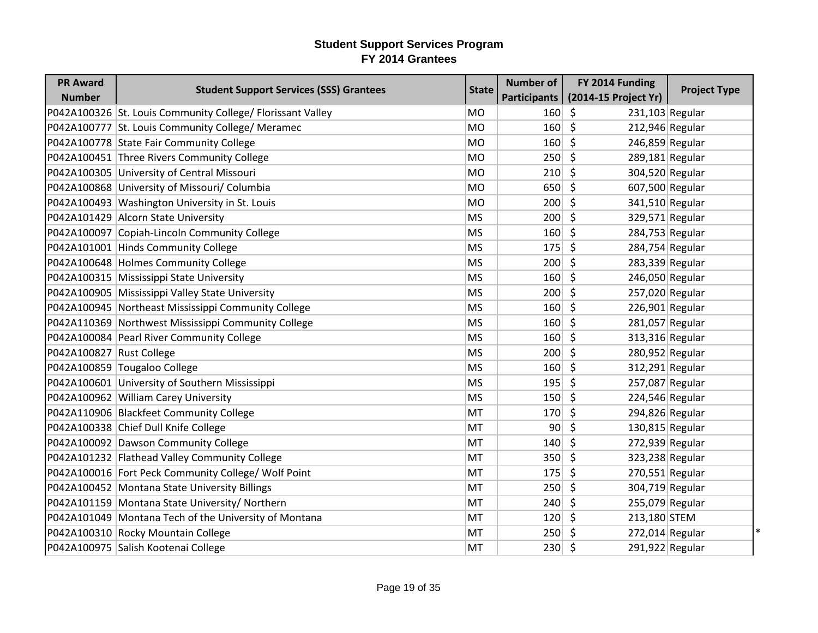| <b>PR Award</b>          |                                                            |              | <b>Number of</b> | FY 2014 Funding            |                     |
|--------------------------|------------------------------------------------------------|--------------|------------------|----------------------------|---------------------|
| <b>Number</b>            | <b>Student Support Services (SSS) Grantees</b>             | <b>State</b> | Participants     | (2014-15 Project Yr)       | <b>Project Type</b> |
|                          | P042A100326 St. Louis Community College/ Florissant Valley | <b>MO</b>    | 160              | \$<br>$231,103$ Regular    |                     |
|                          | P042A100777 St. Louis Community College/ Meramec           | <b>MO</b>    | 160              | \$<br>212,946 Regular      |                     |
|                          | P042A100778 State Fair Community College                   | <b>MO</b>    | 160              | \$<br>246,859 Regular      |                     |
|                          | P042A100451 Three Rivers Community College                 | <b>MO</b>    | 250              | \$<br>289,181 Regular      |                     |
|                          | P042A100305 University of Central Missouri                 | <b>MO</b>    | 210              | Ŝ.<br>304,520 Regular      |                     |
|                          | P042A100868 University of Missouri/ Columbia               | <b>MO</b>    | 650              | \$<br>607,500 Regular      |                     |
|                          | P042A100493 Washington University in St. Louis             | <b>MO</b>    | 200              | \$<br>341,510 Regular      |                     |
|                          | P042A101429 Alcorn State University                        | <b>MS</b>    | 200              | \$<br>329,571 Regular      |                     |
|                          | P042A100097 Copiah-Lincoln Community College               | <b>MS</b>    | 160              | \$<br>284,753 Regular      |                     |
|                          | P042A101001 Hinds Community College                        | <b>MS</b>    | 175              | \$<br>284,754 Regular      |                     |
|                          | P042A100648 Holmes Community College                       | <b>MS</b>    | 200              | \$.<br>283,339 Regular     |                     |
|                          | P042A100315 Mississippi State University                   | <b>MS</b>    | 160              | \$<br>246,050 Regular      |                     |
|                          | P042A100905 Mississippi Valley State University            | <b>MS</b>    | 200              | \$<br>257,020 Regular      |                     |
|                          | P042A100945 Northeast Mississippi Community College        | <b>MS</b>    | 160              | \$<br>226,901 Regular      |                     |
|                          | P042A110369 Northwest Mississippi Community College        | <b>MS</b>    | 160              | \$<br>281,057 Regular      |                     |
|                          | P042A100084 Pearl River Community College                  | <b>MS</b>    | 160              | \$<br>313,316 Regular      |                     |
| P042A100827 Rust College |                                                            | <b>MS</b>    | 200              | 280,952 Regular<br>\$      |                     |
|                          | P042A100859 Tougaloo College                               | <b>MS</b>    | 160              | \$<br>312,291 Regular      |                     |
|                          | P042A100601 University of Southern Mississippi             | <b>MS</b>    | 195              | \$<br>257,087 Regular      |                     |
|                          | P042A100962 William Carey University                       | <b>MS</b>    | 150              | 224,546 Regular<br>\$      |                     |
|                          | P042A110906 Blackfeet Community College                    | MT           | 170              | \$<br>294,826 Regular      |                     |
|                          | P042A100338 Chief Dull Knife College                       | MT           | 90 <sup>°</sup>  | \$<br>130,815 Regular      |                     |
|                          | P042A100092 Dawson Community College                       | MT           | 140              | 272,939 Regular<br>\$      |                     |
|                          | P042A101232 Flathead Valley Community College              | MT           | 350              | \$<br>323,238 Regular      |                     |
|                          | P042A100016 Fort Peck Community College/ Wolf Point        | MT           | 175              | \$<br>270,551 Regular      |                     |
|                          | P042A100452 Montana State University Billings              | MT           | 250              | \$<br>304,719 Regular      |                     |
|                          | P042A101159 Montana State University/ Northern             | MT           | 240              | \$<br>255,079 Regular      |                     |
|                          | P042A101049 Montana Tech of the University of Montana      | MT           | 120              | $\zeta$<br>213,180 STEM    |                     |
|                          | P042A100310 Rocky Mountain College                         | MT           | 250              | 272,014 Regular<br>\$      | $\ast$              |
|                          | P042A100975 Salish Kootenai College                        | MT           | 230              | $\zeta$<br>291,922 Regular |                     |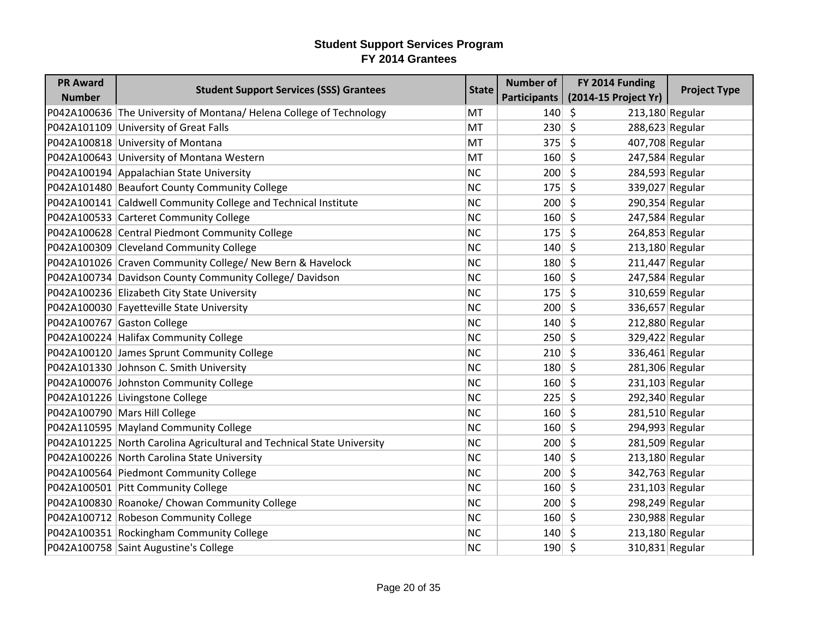| <b>PR Award</b> | <b>Student Support Services (SSS) Grantees</b>                         | <b>State</b> | <b>Number of</b>    | FY 2014 Funding            | <b>Project Type</b> |
|-----------------|------------------------------------------------------------------------|--------------|---------------------|----------------------------|---------------------|
| <b>Number</b>   |                                                                        |              | <b>Participants</b> | (2014-15 Project Yr)       |                     |
|                 | P042A100636 The University of Montana/ Helena College of Technology    | MT           | 140                 | $\zeta$<br>213,180 Regular |                     |
|                 | P042A101109 University of Great Falls                                  | MT           | 230                 | $\zeta$<br>288,623 Regular |                     |
|                 | P042A100818 University of Montana                                      | MT           | 375                 | $\zeta$<br>407,708 Regular |                     |
|                 | P042A100643 University of Montana Western                              | MT           | 160                 | Ŝ.<br>247,584 Regular      |                     |
|                 | P042A100194 Appalachian State University                               | <b>NC</b>    | 200                 | $\zeta$<br>284,593 Regular |                     |
|                 | P042A101480 Beaufort County Community College                          | <b>NC</b>    | 175                 | $\zeta$<br>339,027 Regular |                     |
|                 | P042A100141 Caldwell Community College and Technical Institute         | <b>NC</b>    | 200                 | \$<br>290,354 Regular      |                     |
|                 | P042A100533 Carteret Community College                                 | <b>NC</b>    | 160                 | $\zeta$<br>247,584 Regular |                     |
|                 | P042A100628 Central Piedmont Community College                         | <b>NC</b>    | 175                 | \$<br>264,853 Regular      |                     |
|                 | P042A100309 Cleveland Community College                                | <b>NC</b>    | 140                 | \$<br>213,180 Regular      |                     |
|                 | P042A101026 Craven Community College/ New Bern & Havelock              | <b>NC</b>    | 180                 | \$<br>$211,447$ Regular    |                     |
|                 | P042A100734 Davidson County Community College/ Davidson                | <b>NC</b>    | 160                 | \$<br>247,584 Regular      |                     |
|                 | P042A100236 Elizabeth City State University                            | <b>NC</b>    | 175                 | $\zeta$<br>310,659 Regular |                     |
|                 | P042A100030 Fayetteville State University                              | <b>NC</b>    | 200                 | Ś.<br>336,657 Regular      |                     |
|                 | P042A100767 Gaston College                                             | <b>NC</b>    | 140                 | $\zeta$<br>212,880 Regular |                     |
|                 | P042A100224 Halifax Community College                                  | <b>NC</b>    | 250                 | $\zeta$<br>329,422 Regular |                     |
|                 | P042A100120 James Sprunt Community College                             | <b>NC</b>    | 210                 | 336,461 Regular<br>S.      |                     |
|                 | P042A101330 Johnson C. Smith University                                | <b>NC</b>    | 180                 | \$<br>281,306 Regular      |                     |
|                 | P042A100076 Johnston Community College                                 | <b>NC</b>    | 160                 | $\zeta$<br>231,103 Regular |                     |
|                 | P042A101226 Livingstone College                                        | <b>NC</b>    | 225                 | \$<br>292,340 Regular      |                     |
|                 | P042A100790 Mars Hill College                                          | <b>NC</b>    | 160                 | $\zeta$<br>281,510 Regular |                     |
|                 | P042A110595 Mayland Community College                                  | <b>NC</b>    | 160                 | $\zeta$<br>294,993 Regular |                     |
|                 | P042A101225 North Carolina Agricultural and Technical State University | <b>NC</b>    | 200                 | \$<br>281,509 Regular      |                     |
|                 | P042A100226 North Carolina State University                            | <b>NC</b>    | 140                 | \$<br>213,180 Regular      |                     |
|                 | P042A100564 Piedmont Community College                                 | <b>NC</b>    | 200                 | \$<br>342,763 Regular      |                     |
|                 | P042A100501 Pitt Community College                                     | <b>NC</b>    | 160                 | $\zeta$<br>231,103 Regular |                     |
|                 | P042A100830 Roanoke/ Chowan Community College                          | <b>NC</b>    | 200                 | \$<br>298,249 Regular      |                     |
|                 | P042A100712 Robeson Community College                                  | <b>NC</b>    | 160                 | $\zeta$<br>230,988 Regular |                     |
|                 | P042A100351 Rockingham Community College                               | <b>NC</b>    | 140                 | \$<br>213,180 Regular      |                     |
|                 | P042A100758 Saint Augustine's College                                  | <b>NC</b>    | 190                 | \$<br>310,831 Regular      |                     |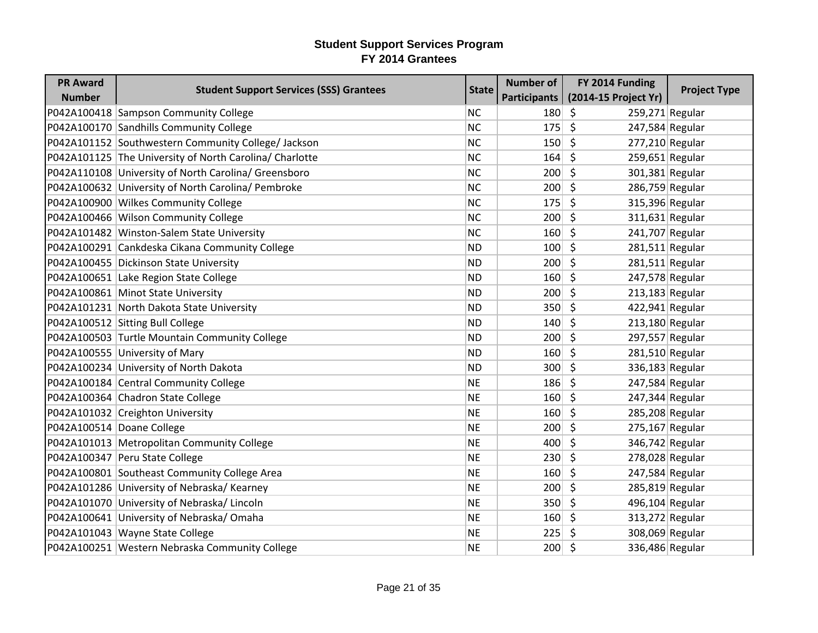| <b>PR Award</b><br><b>Number</b> | <b>Student Support Services (SSS) Grantees</b>          | <b>State</b> | <b>Number of</b><br>Participants | FY 2014 Funding<br>(2014-15 Project Yr) | <b>Project Type</b> |
|----------------------------------|---------------------------------------------------------|--------------|----------------------------------|-----------------------------------------|---------------------|
|                                  | P042A100418 Sampson Community College                   | <b>NC</b>    | 180                              | S.<br>$259,271$ Regular                 |                     |
|                                  | P042A100170 Sandhills Community College                 | <b>NC</b>    | 175                              | \$<br>247,584 Regular                   |                     |
|                                  | P042A101152 Southwestern Community College/ Jackson     | <b>NC</b>    | 150                              | $\zeta$<br>277,210 Regular              |                     |
|                                  | P042A101125 The University of North Carolina/ Charlotte | <b>NC</b>    | 164                              | S.<br>$259,651$ Regular                 |                     |
|                                  | P042A110108 University of North Carolina/ Greensboro    | <b>NC</b>    | 200                              | $\zeta$<br>301,381 Regular              |                     |
|                                  | P042A100632 University of North Carolina/ Pembroke      | <b>NC</b>    | 200                              | $\zeta$<br>286,759 Regular              |                     |
|                                  | P042A100900 Wilkes Community College                    | <b>NC</b>    | 175                              | \$<br>315,396 Regular                   |                     |
|                                  | P042A100466 Wilson Community College                    | <b>NC</b>    | 200                              | $\zeta$<br>$311,631$ Regular            |                     |
|                                  | P042A101482 Winston-Salem State University              | <b>NC</b>    | 160                              | $\zeta$<br>241,707 Regular              |                     |
|                                  | P042A100291 Cankdeska Cikana Community College          | <b>ND</b>    | 100                              | Ŝ.<br>$281,511$ Regular                 |                     |
|                                  | P042A100455 Dickinson State University                  | <b>ND</b>    | 200                              | $\zeta$<br>$281,511$ Regular            |                     |
|                                  | P042A100651 Lake Region State College                   | <b>ND</b>    | 160                              | Ŝ.<br>247,578 Regular                   |                     |
|                                  | P042A100861 Minot State University                      | <b>ND</b>    | 200                              | $\zeta$<br>213,183 Regular              |                     |
|                                  | P042A101231 North Dakota State University               | <b>ND</b>    | 350                              | 422,941 Regular<br>\$                   |                     |
|                                  | P042A100512 Sitting Bull College                        | <b>ND</b>    | 140                              | $\zeta$<br>$213,180$ Regular            |                     |
|                                  | P042A100503 Turtle Mountain Community College           | <b>ND</b>    | 200                              | $\zeta$<br>297,557 Regular              |                     |
|                                  | P042A100555 University of Mary                          | <b>ND</b>    | 160                              | $\zeta$<br>281,510 Regular              |                     |
|                                  | P042A100234 University of North Dakota                  | <b>ND</b>    | 300                              | Ŝ.<br>336,183 Regular                   |                     |
|                                  | P042A100184 Central Community College                   | <b>NE</b>    | 186                              | $\zeta$<br>247,584 Regular              |                     |
|                                  | P042A100364 Chadron State College                       | <b>NE</b>    | 160                              | $\zeta$<br>247,344 Regular              |                     |
|                                  | P042A101032 Creighton University                        | <b>NE</b>    | 160                              | $\zeta$<br>285,208 Regular              |                     |
| P042A100514 Doane College        |                                                         | <b>NE</b>    | 200                              | $\zeta$<br>$275,167$ Regular            |                     |
|                                  | P042A101013 Metropolitan Community College              | <b>NE</b>    | 400                              | Ŝ.<br>346,742 Regular                   |                     |
|                                  | P042A100347 Peru State College                          | <b>NE</b>    | 230                              | $\zeta$<br>278,028 Regular              |                     |
|                                  | P042A100801 Southeast Community College Area            | <b>NE</b>    | 160                              | $\zeta$<br>247,584 Regular              |                     |
|                                  | P042A101286 University of Nebraska/ Kearney             | <b>NE</b>    | 200                              | 285,819 Regular<br>\$.                  |                     |
|                                  | P042A101070 University of Nebraska/ Lincoln             | <b>NE</b>    | 350                              | \$<br>496,104 Regular                   |                     |
|                                  | P042A100641 University of Nebraska/Omaha                | <b>NE</b>    | 160                              | $\mathsf{\hat{S}}$<br>313,272 Regular   |                     |
|                                  | P042A101043 Wayne State College                         | <b>NE</b>    | 225                              | 308,069 Regular<br>\$.                  |                     |
|                                  | P042A100251 Western Nebraska Community College          | <b>NE</b>    | $200 \mid 5$                     | 336,486 Regular                         |                     |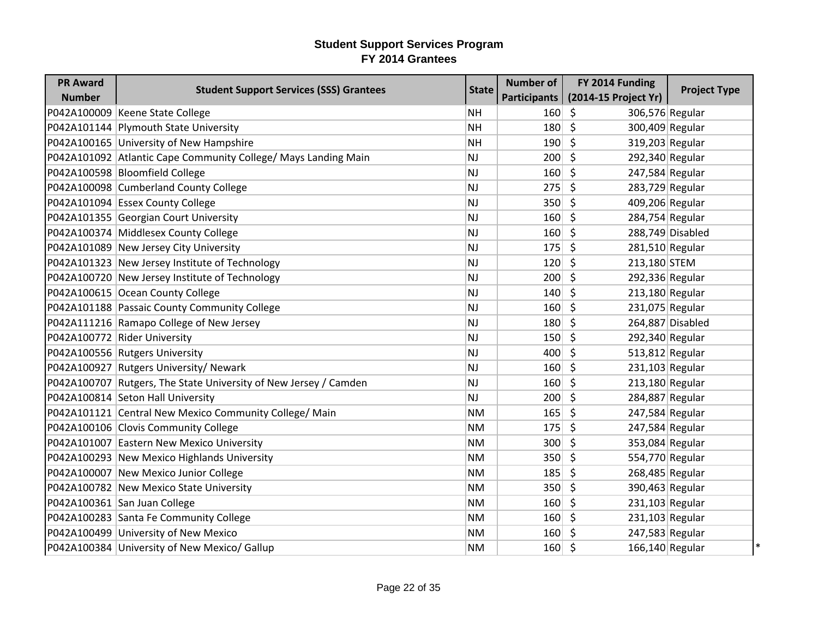| <b>PR Award</b> |                                                                  |              | <b>Number of</b> | FY 2014 Funding            |                     |
|-----------------|------------------------------------------------------------------|--------------|------------------|----------------------------|---------------------|
| <b>Number</b>   | <b>Student Support Services (SSS) Grantees</b>                   | <b>State</b> | Participants     | (2014-15 Project Yr)       | <b>Project Type</b> |
|                 | P042A100009 Keene State College                                  | <b>NH</b>    | 160              | \$<br>306,576 Regular      |                     |
|                 | P042A101144 Plymouth State University                            | <b>NH</b>    | 180              | \$<br>300,409 Regular      |                     |
|                 | P042A100165 University of New Hampshire                          | <b>NH</b>    | 190              | Ś.<br>319,203 Regular      |                     |
|                 | P042A101092 Atlantic Cape Community College/ Mays Landing Main   | NJ           | 200              | \$<br>292,340 Regular      |                     |
|                 | P042A100598 Bloomfield College                                   | NJ           | 160              | \$<br>247,584 Regular      |                     |
|                 | P042A100098 Cumberland County College                            | NJ           | 275              | \$<br>283,729 Regular      |                     |
|                 | P042A101094 Essex County College                                 | NJ           | 350              | \$<br>409,206 Regular      |                     |
|                 | P042A101355 Georgian Court University                            | NJ           | 160              | \$.<br>284,754 Regular     |                     |
|                 | P042A100374 Middlesex County College                             | NJ           | 160              | \$                         | 288,749 Disabled    |
|                 | P042A101089 New Jersey City University                           | NJ           | 175              | \$<br>281,510 Regular      |                     |
|                 | P042A101323 New Jersey Institute of Technology                   | <b>NJ</b>    | 120              | \$<br>213,180 STEM         |                     |
|                 | P042A100720 New Jersey Institute of Technology                   | NJ           | 200              | \$<br>292,336 Regular      |                     |
|                 | P042A100615 Ocean County College                                 | NJ           | 140              | \$<br>213,180 Regular      |                     |
|                 | P042A101188 Passaic County Community College                     | NJ           | 160              | \$<br>231,075 Regular      |                     |
|                 | P042A111216 Ramapo College of New Jersey                         | <b>NJ</b>    | 180              | \$                         | 264,887 Disabled    |
|                 | P042A100772 Rider University                                     | NJ           | 150              | \$<br>292,340 Regular      |                     |
|                 | P042A100556 Rutgers University                                   | NJ           | 400              | \$<br>513,812 Regular      |                     |
|                 | P042A100927 Rutgers University/ Newark                           | NJ           | 160              | \$<br>231,103 Regular      |                     |
|                 | P042A100707 Rutgers, The State University of New Jersey / Camden | NJ           | 160              | \$<br>213,180 Regular      |                     |
|                 | P042A100814 Seton Hall University                                | NJ           | 200              | \$<br>284,887 Regular      |                     |
|                 | P042A101121 Central New Mexico Community College/ Main           | <b>NM</b>    | 165              | \$<br>247,584 Regular      |                     |
|                 | P042A100106 Clovis Community College                             | <b>NM</b>    | 175              | \$<br>247,584 Regular      |                     |
|                 | P042A101007 Eastern New Mexico University                        | <b>NM</b>    | 300              | 353,084 Regular<br>\$.     |                     |
|                 | P042A100293 New Mexico Highlands University                      | <b>NM</b>    | 350              | \$<br>554,770 Regular      |                     |
|                 | P042A100007 New Mexico Junior College                            | <b>NM</b>    | 185              | \$<br>268,485 Regular      |                     |
|                 | P042A100782 New Mexico State University                          | <b>NM</b>    | 350              | \$<br>390,463 Regular      |                     |
|                 | P042A100361 San Juan College                                     | <b>NM</b>    | 160              | \$<br>$231,103$ Regular    |                     |
|                 | P042A100283 Santa Fe Community College                           | <b>NM</b>    | 160              | \$<br>231,103 Regular      |                     |
|                 | P042A100499 University of New Mexico                             | ΝM           | 160              | 247,583 Regular<br>\$.     |                     |
|                 | P042A100384 University of New Mexico/ Gallup                     | <b>NM</b>    | 160              | $\zeta$<br>166,140 Regular |                     |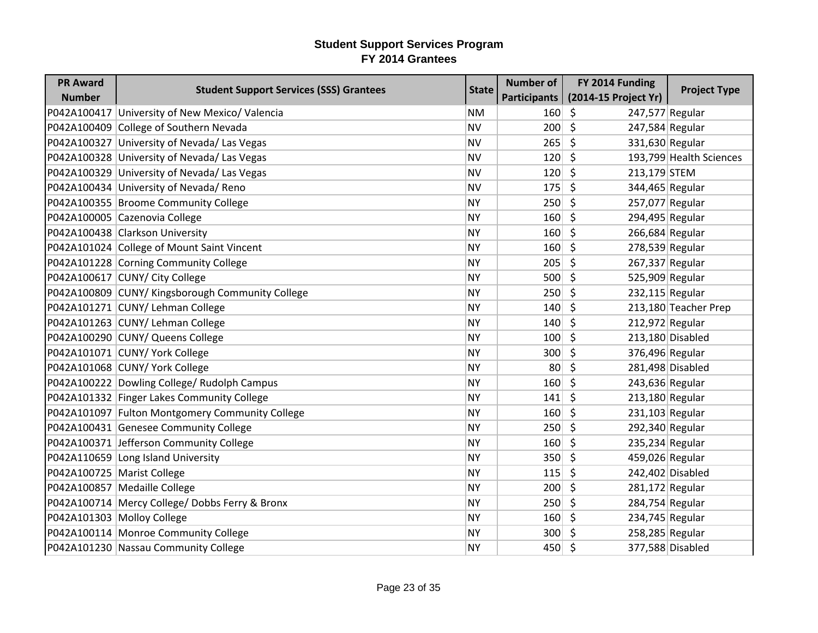| <b>PR Award</b>            | <b>Student Support Services (SSS) Grantees</b>   | <b>State</b> | <b>Number of</b> | FY 2014 Funding                       | <b>Project Type</b>     |
|----------------------------|--------------------------------------------------|--------------|------------------|---------------------------------------|-------------------------|
| <b>Number</b>              |                                                  |              | Participants     | (2014-15 Project Yr)                  |                         |
|                            | P042A100417 University of New Mexico/ Valencia   | <b>NM</b>    | $160 \mid 5$     | 247,577 Regular                       |                         |
|                            | P042A100409 College of Southern Nevada           | <b>NV</b>    | 200              | $\zeta$<br>247,584 Regular            |                         |
|                            | P042A100327 University of Nevada/ Las Vegas      | <b>NV</b>    | 265              | $\zeta$<br>331,630 Regular            |                         |
|                            | P042A100328 University of Nevada/ Las Vegas      | <b>NV</b>    | 120              | Ŝ.                                    | 193,799 Health Sciences |
|                            | P042A100329 University of Nevada/ Las Vegas      | <b>NV</b>    | 120              | $\zeta$<br>213,179 STEM               |                         |
|                            | P042A100434 University of Nevada/ Reno           | <b>NV</b>    | 175              | $\zeta$<br>344,465 Regular            |                         |
|                            | P042A100355 Broome Community College             | <b>NY</b>    | 250              | \$<br>257,077 Regular                 |                         |
|                            | P042A100005 Cazenovia College                    | <b>NY</b>    | 160              | $\zeta$<br>294,495 Regular            |                         |
|                            | P042A100438 Clarkson University                  | <b>NY</b>    | 160              | $\zeta$<br>266,684 Regular            |                         |
|                            | P042A101024 College of Mount Saint Vincent       | <b>NY</b>    | 160              | \$<br>278,539 Regular                 |                         |
|                            | P042A101228 Corning Community College            | <b>NY</b>    | 205              | $\zeta$<br>267,337 Regular            |                         |
|                            | P042A100617 CUNY/ City College                   | <b>NY</b>    | 500              | $\mathsf{\dot{S}}$<br>525,909 Regular |                         |
|                            | P042A100809 CUNY/ Kingsborough Community College | <b>NY</b>    | 250              | \$<br>232,115 Regular                 |                         |
|                            | P042A101271 CUNY/ Lehman College                 | <b>NY</b>    | 140              | $\zeta$                               | 213,180 Teacher Prep    |
|                            | P042A101263 CUNY/ Lehman College                 | <b>NY</b>    | 140              | $\zeta$<br>212,972 Regular            |                         |
|                            | P042A100290 CUNY/ Queens College                 | <b>NY</b>    | 100              | Ŝ.                                    | 213,180 Disabled        |
|                            | P042A101071 CUNY/ York College                   | <b>NY</b>    | 300              | $\zeta$<br>376,496 Regular            |                         |
|                            | P042A101068 CUNY/ York College                   | <b>NY</b>    | 80 <sup>2</sup>  | $\zeta$                               | 281,498 Disabled        |
|                            | P042A100222 Dowling College/ Rudolph Campus      | <b>NY</b>    | 160              | $\zeta$<br>243,636 Regular            |                         |
|                            | P042A101332 Finger Lakes Community College       | <b>NY</b>    | 141              | $\zeta$<br>213,180 Regular            |                         |
|                            | P042A101097 Fulton Montgomery Community College  | <b>NY</b>    | 160              | $\zeta$<br>231,103 Regular            |                         |
|                            | P042A100431 Genesee Community College            | <b>NY</b>    | 250              | Ŝ.<br>292,340 Regular                 |                         |
|                            | P042A100371 Jefferson Community College          | <b>NY</b>    | 160              | $\mathsf{\hat{S}}$<br>235,234 Regular |                         |
|                            | P042A110659 Long Island University               | <b>NY</b>    | 350              | $\zeta$<br>459,026 Regular            |                         |
| P042A100725 Marist College |                                                  | <b>NY</b>    | 115              | $\zeta$                               | 242,402 Disabled        |
|                            | P042A100857 Medaille College                     | <b>NY</b>    | 200              | $\zeta$<br>281,172 Regular            |                         |
|                            | P042A100714 Mercy College/ Dobbs Ferry & Bronx   | <b>NY</b>    | 250              | $\zeta$<br>284,754 Regular            |                         |
|                            | P042A101303 Molloy College                       | <b>NY</b>    | 160              | Ŝ.<br>234,745 Regular                 |                         |
|                            | P042A100114 Monroe Community College             | <b>NY</b>    | $300 \mid 5$     | 258,285 Regular                       |                         |
|                            | P042A101230 Nassau Community College             | <b>NY</b>    | $450 \mid 5$     |                                       | 377,588 Disabled        |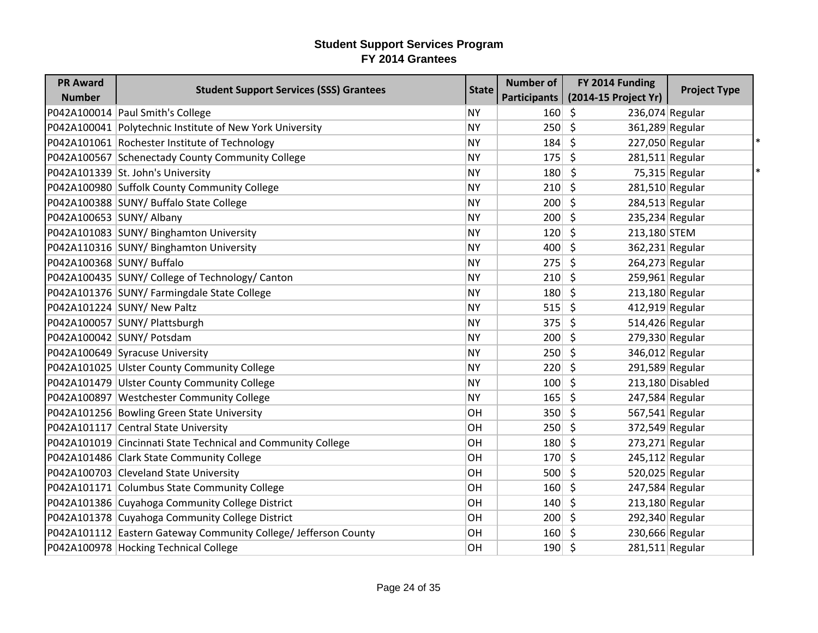| <b>PR Award</b>           | <b>Student Support Services (SSS) Grantees</b>                  | <b>State</b> | <b>Number of</b> | FY 2014 Funding            | <b>Project Type</b> |
|---------------------------|-----------------------------------------------------------------|--------------|------------------|----------------------------|---------------------|
| <b>Number</b>             |                                                                 |              | Participants     | (2014-15 Project Yr)       |                     |
|                           | P042A100014 Paul Smith's College                                | <b>NY</b>    | 160              | \$<br>236,074 Regular      |                     |
|                           | P042A100041 Polytechnic Institute of New York University        | <b>NY</b>    | 250              | \$<br>361,289 Regular      |                     |
|                           | P042A101061 Rochester Institute of Technology                   | <b>NY</b>    | 184              | \$<br>227,050 Regular      |                     |
|                           | P042A100567 Schenectady County Community College                | <b>NY</b>    | 175              | \$<br>$281,511$ Regular    |                     |
|                           | P042A101339 St. John's University                               | NY           | 180              | -S                         | $75,315$ Regular    |
|                           | P042A100980 Suffolk County Community College                    | <b>NY</b>    | 210              | \$<br>281,510 Regular      |                     |
|                           | P042A100388 SUNY/ Buffalo State College                         | <b>NY</b>    | 200              | \$<br>284,513 Regular      |                     |
| P042A100653 SUNY/ Albany  |                                                                 | <b>NY</b>    | 200              | \$<br>235,234 Regular      |                     |
|                           | P042A101083 SUNY/ Binghamton University                         | <b>NY</b>    | 120              | \$<br>213,180 STEM         |                     |
|                           | P042A110316 SUNY/ Binghamton University                         | <b>NY</b>    | 400              | \$<br>362,231 Regular      |                     |
| P042A100368 SUNY/ Buffalo |                                                                 | <b>NY</b>    | 275              | 264,273 Regular<br>\$.     |                     |
|                           | P042A100435 SUNY/ College of Technology/ Canton                 | <b>NY</b>    | 210              | \$<br>259,961 Regular      |                     |
|                           | P042A101376 SUNY/ Farmingdale State College                     | <b>NY</b>    | 180              | \$<br>213,180 Regular      |                     |
|                           | P042A101224 SUNY/ New Paltz                                     | NY           | 515              | $412,919$ Regular<br>\$.   |                     |
|                           | P042A100057 SUNY/ Plattsburgh                                   | <b>NY</b>    | 375              | \$<br>514,426 Regular      |                     |
|                           | P042A100042 SUNY/ Potsdam                                       | <b>NY</b>    | 200              | $\zeta$<br>279,330 Regular |                     |
|                           | P042A100649 Syracuse University                                 | <b>NY</b>    | 250              | 346,012 Regular<br>\$      |                     |
|                           | P042A101025 Ulster County Community College                     | <b>NY</b>    | 220              | $\zeta$<br>291,589 Regular |                     |
|                           | P042A101479 Ulster County Community College                     | <b>NY</b>    | 100              | \$                         | 213,180 Disabled    |
|                           | P042A100897 Westchester Community College                       | <b>NY</b>    | 165              | \$<br>247,584 Regular      |                     |
|                           | P042A101256 Bowling Green State University                      | OН           | 350              | $\zeta$<br>567,541 Regular |                     |
|                           | P042A101117 Central State University                            | OH           | 250              | \$<br>372,549 Regular      |                     |
|                           | P042A101019 Cincinnati State Technical and Community College    | OН           | 180              | \$<br>273,271 Regular      |                     |
|                           | P042A101486 Clark State Community College                       | OH           | 170              | \$<br>245,112 Regular      |                     |
|                           | P042A100703 Cleveland State University                          | OH           | 500              | \$<br>520,025 Regular      |                     |
|                           | P042A101171 Columbus State Community College                    | OН           | 160              | \$.<br>247,584 Regular     |                     |
|                           | P042A101386 Cuyahoga Community College District                 | OH           | 140              | \$<br>$213,180$ Regular    |                     |
|                           | P042A101378 Cuyahoga Community College District                 | OH           | 200              | $\zeta$<br>292,340 Regular |                     |
|                           | P042A101112 Eastern Gateway Community College/ Jefferson County | OH           | 160              | 230,666 Regular<br>\$      |                     |
|                           | P042A100978 Hocking Technical College                           | OH           | $190 \mid 5$     | 281,511 Regular            |                     |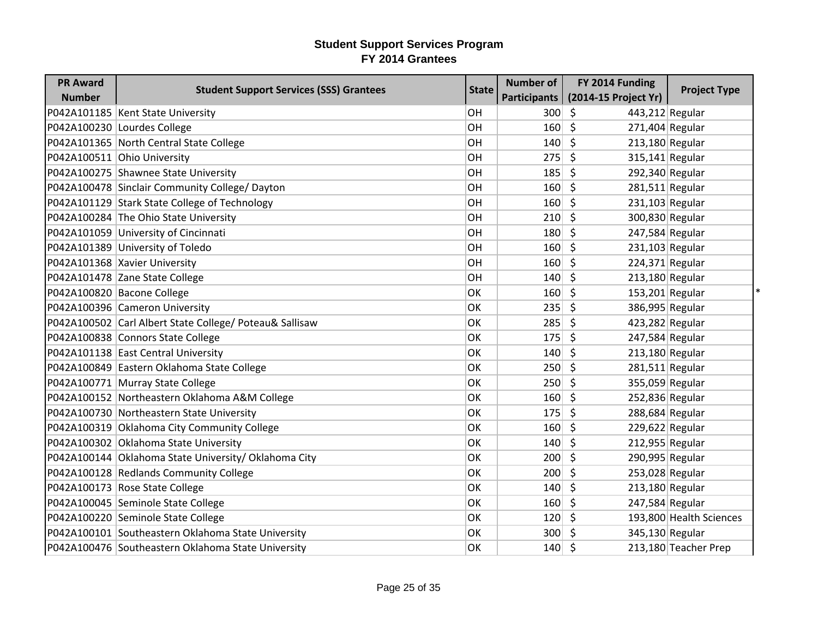| <b>PR Award</b> | <b>Student Support Services (SSS) Grantees</b>          | <b>State</b> | <b>Number of</b> | FY 2014 Funding         | <b>Project Type</b>     |
|-----------------|---------------------------------------------------------|--------------|------------------|-------------------------|-------------------------|
| <b>Number</b>   |                                                         |              | Participants     | (2014-15 Project Yr)    |                         |
|                 | P042A101185 Kent State University                       | OH           | 300              | \$<br>443,212 Regular   |                         |
|                 | P042A100230 Lourdes College                             | OH           | 160              | \$<br>271,404 Regular   |                         |
|                 | P042A101365 North Central State College                 | <b>OH</b>    | 140              | \$<br>213,180 Regular   |                         |
|                 | P042A100511 Ohio University                             | OH           | 275              | \$<br>$315,141$ Regular |                         |
|                 | P042A100275 Shawnee State University                    | OH           | 185              | \$.<br>292,340 Regular  |                         |
|                 | P042A100478 Sinclair Community College/ Dayton          | OH           | 160              | \$<br>281,511 Regular   |                         |
|                 | P042A101129 Stark State College of Technology           | OH           | 160              | \$<br>231,103 Regular   |                         |
|                 | P042A100284 The Ohio State University                   | OH           | 210              | \$<br>300,830 Regular   |                         |
|                 | P042A101059 University of Cincinnati                    | OH           | 180              | Ś.<br>247,584 Regular   |                         |
|                 | P042A101389 University of Toledo                        | OH           | 160              | \$<br>$231,103$ Regular |                         |
|                 | P042A101368 Xavier University                           | OH           | 160              | 224,371 Regular<br>\$.  |                         |
|                 | P042A101478 Zane State College                          | OН           | 140              | Ŝ.<br>213,180 Regular   |                         |
|                 | P042A100820 Bacone College                              | OK           | 160              | \$<br>153,201 Regular   |                         |
|                 | P042A100396 Cameron University                          | OK           | 235              | 386,995 Regular<br>\$   |                         |
|                 | P042A100502 Carl Albert State College/ Poteau& Sallisaw | OK           | 285              | \$<br>423,282 Regular   |                         |
|                 | P042A100838 Connors State College                       | OK           | 175              | \$<br>247,584 Regular   |                         |
|                 | P042A101138 East Central University                     | ОK           | 140              | 213,180 Regular<br>\$   |                         |
|                 | P042A100849 Eastern Oklahoma State College              | OK           | 250              | Ś.<br>281,511 Regular   |                         |
|                 | P042A100771 Murray State College                        | ОK           | 250              | \$<br>355,059 Regular   |                         |
|                 | P042A100152 Northeastern Oklahoma A&M College           | OK           | 160              | \$<br>252,836 Regular   |                         |
|                 | P042A100730 Northeastern State University               | <b>OK</b>    | 175              | \$<br>288,684 Regular   |                         |
|                 | P042A100319 Oklahoma City Community College             | OK           | 160              | \$<br>229,622 Regular   |                         |
|                 | P042A100302 Oklahoma State University                   | OK           | 140              | \$<br>212,955 Regular   |                         |
|                 | P042A100144 Oklahoma State University/ Oklahoma City    | OK           | 200              | \$<br>290,995 Regular   |                         |
|                 | P042A100128 Redlands Community College                  | OK           | 200              | \$<br>253,028 Regular   |                         |
|                 | P042A100173 Rose State College                          | ОK           | 140              | \$.<br>213,180 Regular  |                         |
|                 | P042A100045 Seminole State College                      | OK           | 160              | \$<br>247,584 Regular   |                         |
|                 | P042A100220 Seminole State College                      | <b>OK</b>    | 120              | $\zeta$                 | 193,800 Health Sciences |
|                 | P042A100101 Southeastern Oklahoma State University      | ОK           | 300              | 345,130 Regular<br>\$   |                         |
|                 | P042A100476 Southeastern Oklahoma State University      | OK           | 140              | $\zeta$                 | 213,180 Teacher Prep    |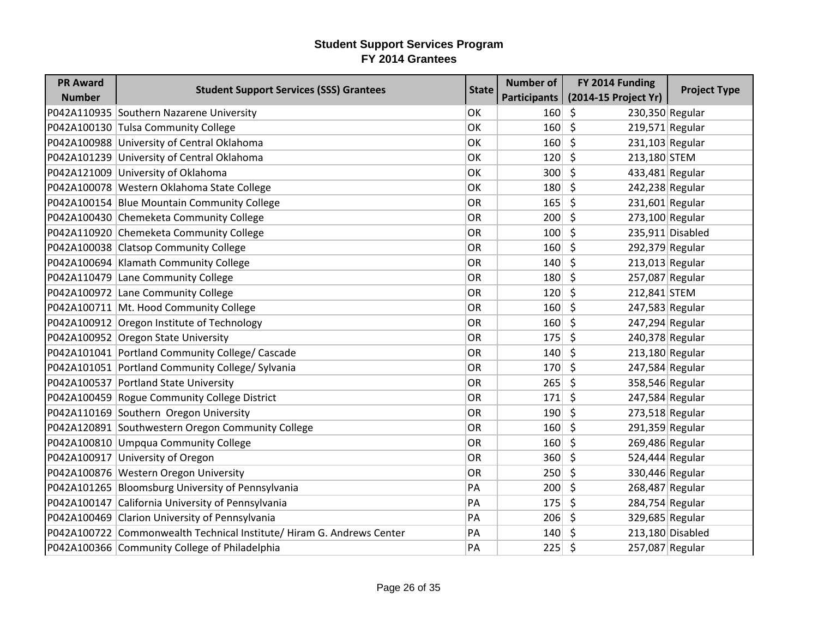| <b>PR Award</b> | <b>Student Support Services (SSS) Grantees</b>                        | <b>State</b> | <b>Number of</b> | FY 2014 Funding                       | <b>Project Type</b> |
|-----------------|-----------------------------------------------------------------------|--------------|------------------|---------------------------------------|---------------------|
| <b>Number</b>   |                                                                       |              | Participants     | (2014-15 Project Yr)                  |                     |
|                 | P042A110935 Southern Nazarene University                              | <b>OK</b>    | $160 \mid 5$     | 230,350 Regular                       |                     |
|                 | P042A100130 Tulsa Community College                                   | <b>OK</b>    | 160              | $\zeta$<br>219,571 Regular            |                     |
|                 | P042A100988 University of Central Oklahoma                            | <b>OK</b>    | 160              | $\zeta$<br>231,103 Regular            |                     |
|                 | P042A101239 University of Central Oklahoma                            | OK           | $120 \mid 5$     | 213,180 STEM                          |                     |
|                 | P042A121009 University of Oklahoma                                    | <b>OK</b>    | 300              | $\zeta$<br>433,481 Regular            |                     |
|                 | P042A100078 Western Oklahoma State College                            | OK           | 180              | $\zeta$<br>242,238 Regular            |                     |
|                 | P042A100154 Blue Mountain Community College                           | OR           | 165              | \$<br>231,601 Regular                 |                     |
|                 | P042A100430 Chemeketa Community College                               | <b>OR</b>    | 200              | $\zeta$<br>273,100 Regular            |                     |
|                 | P042A110920 Chemeketa Community College                               | OR           | 100              | $\zeta$                               | 235,911 Disabled    |
|                 | P042A100038 Clatsop Community College                                 | OR           | $160 \mid 5$     | 292,379 Regular                       |                     |
|                 | P042A100694 Klamath Community College                                 | OR           | 140              | $\zeta$<br>213,013 Regular            |                     |
|                 | P042A110479 Lane Community College                                    | <b>OR</b>    | 180              | $\mathsf{\hat{S}}$<br>257,087 Regular |                     |
|                 | P042A100972 Lane Community College                                    | <b>OR</b>    | 120              | 212,841 STEM<br>Ŝ.                    |                     |
|                 | P042A100711 Mt. Hood Community College                                | OR           | 160              | $\zeta$<br>247,583 Regular            |                     |
|                 | P042A100912 Oregon Institute of Technology                            | OR           | 160              | $\zeta$<br>247,294 Regular            |                     |
|                 | P042A100952 Oregon State University                                   | <b>OR</b>    | 175              | Ŝ.<br>240,378 Regular                 |                     |
|                 | P042A101041 Portland Community College/ Cascade                       | OR           | 140              | $\mathsf{\hat{S}}$<br>213,180 Regular |                     |
|                 | P042A101051 Portland Community College/ Sylvania                      | OR           | 170              | $\zeta$<br>247,584 Regular            |                     |
|                 | P042A100537 Portland State University                                 | OR           | 265              | \$<br>358,546 Regular                 |                     |
|                 | P042A100459 Rogue Community College District                          | OR           | 171              | $\mathsf{\dot{S}}$<br>247,584 Regular |                     |
|                 | P042A110169 Southern Oregon University                                | OR           | 190              | $\zeta$<br>273,518 Regular            |                     |
|                 | P042A120891 Southwestern Oregon Community College                     | OR           | 160              | Ŝ.<br>291,359 Regular                 |                     |
|                 | P042A100810 Umpqua Community College                                  | OR           | $160 \mid 5$     | 269,486 Regular                       |                     |
|                 | P042A100917 University of Oregon                                      | OR           | 360              | $\mathsf{\hat{S}}$<br>524,444 Regular |                     |
|                 | P042A100876 Western Oregon University                                 | OR           | 250              | $\zeta$<br>330,446 Regular            |                     |
|                 | P042A101265 Bloomsburg University of Pennsylvania                     | PA           | 200              | \$<br>268,487 Regular                 |                     |
|                 | P042A100147 California University of Pennsylvania                     | PA           | 175              | $\zeta$<br>284,754 Regular            |                     |
|                 | P042A100469 Clarion University of Pennsylvania                        | PA           | 206              | $\zeta$<br>329,685 Regular            |                     |
|                 | P042A100722 Commonwealth Technical Institute/ Hiram G. Andrews Center | PA           | 140              | Ŝ.                                    | 213,180 Disabled    |
|                 | P042A100366 Community College of Philadelphia                         | PA           | $225 \mid 5$     | 257,087 Regular                       |                     |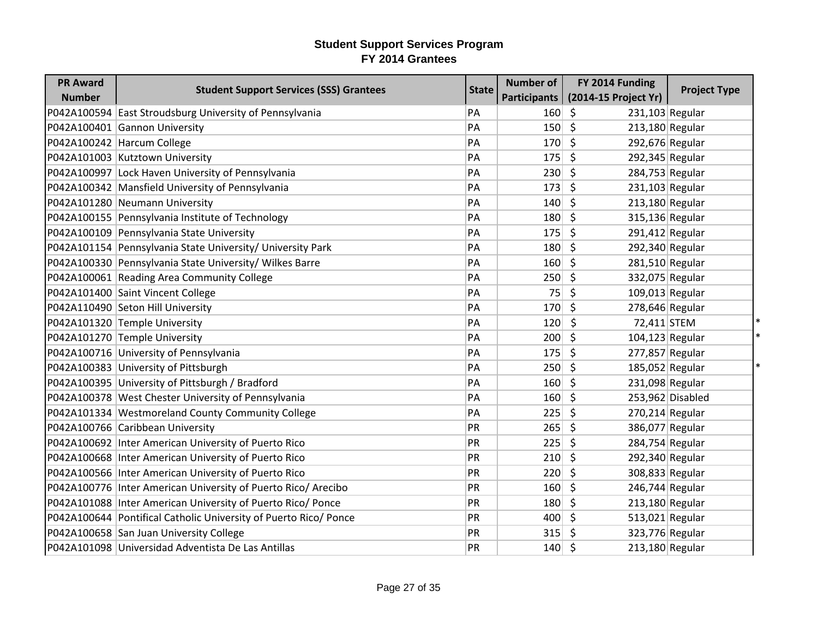| <b>PR Award</b> | <b>Student Support Services (SSS) Grantees</b>                   | <b>State</b> | <b>Number of</b> | FY 2014 Funding            | <b>Project Type</b> |
|-----------------|------------------------------------------------------------------|--------------|------------------|----------------------------|---------------------|
| <b>Number</b>   |                                                                  |              | Participants     | (2014-15 Project Yr)       |                     |
|                 | P042A100594 East Stroudsburg University of Pennsylvania          | PA           | 160              | \$<br>$231,103$ Regular    |                     |
|                 | P042A100401 Gannon University                                    | PA           | 150              | \$<br>213,180 Regular      |                     |
|                 | P042A100242 Harcum College                                       | PA           | 170              | \$<br>292,676 Regular      |                     |
|                 | P042A101003 Kutztown University                                  | PA           | 175              | \$<br>292,345 Regular      |                     |
|                 | P042A100997 Lock Haven University of Pennsylvania                | PA           | 230              | \$.<br>284,753 Regular     |                     |
|                 | P042A100342 Mansfield University of Pennsylvania                 | PA           | 173              | \$<br>231,103 Regular      |                     |
|                 | P042A101280 Neumann University                                   | PA           | 140              | \$<br>213,180 Regular      |                     |
|                 | P042A100155 Pennsylvania Institute of Technology                 | PA           | 180              | \$<br>315,136 Regular      |                     |
|                 | P042A100109 Pennsylvania State University                        | PA           | 175              | \$<br>$291,412$ Regular    |                     |
|                 | P042A101154 Pennsylvania State University/ University Park       | PA           | 180              | \$<br>292,340 Regular      |                     |
|                 | P042A100330 Pennsylvania State University/ Wilkes Barre          | PA           | 160              | 281,510 Regular<br>\$      |                     |
|                 | P042A100061 Reading Area Community College                       | PA           | 250              | \$<br>332,075 Regular      |                     |
|                 | P042A101400 Saint Vincent College                                | PA           | 75               | \$<br>109,013 Regular      |                     |
|                 | P042A110490 Seton Hill University                                | PA           | 170              | $\zeta$<br>278,646 Regular |                     |
|                 | P042A101320 Temple University                                    | PA           | 120              | \$<br>72,411 STEM          |                     |
|                 | P042A101270 Temple University                                    | PA           | 200              | \$<br>104,123 Regular      |                     |
|                 | P042A100716 University of Pennsylvania                           | PA           | 175              | 277,857 Regular<br>\$      |                     |
|                 | P042A100383 University of Pittsburgh                             | PA           | 250              | \$<br>185,052 Regular      |                     |
|                 | P042A100395 University of Pittsburgh / Bradford                  | PA           | 160              | \$<br>231,098 Regular      |                     |
|                 | P042A100378 West Chester University of Pennsylvania              | PA           | 160              | \$                         | 253,962 Disabled    |
|                 | P042A101334 Westmoreland County Community College                | PA           | 225              | \$<br>270,214 Regular      |                     |
|                 | P042A100766 Caribbean University                                 | PR           | 265              | \$<br>386,077 Regular      |                     |
|                 | P042A100692 Inter American University of Puerto Rico             | PR           | 225              | \$<br>284,754 Regular      |                     |
|                 | P042A100668   Inter American University of Puerto Rico           | PR           | 210              | \$<br>292,340 Regular      |                     |
|                 | P042A100566 Inter American University of Puerto Rico             | PR           | 220              | \$<br>308,833 Regular      |                     |
|                 | P042A100776 Inter American University of Puerto Rico/ Arecibo    | PR           | 160              | \$<br>246,744 Regular      |                     |
|                 | P042A101088   Inter American University of Puerto Rico/ Ponce    | PR           | 180              | \$<br>$213,180$ Regular    |                     |
|                 | P042A100644 Pontifical Catholic University of Puerto Rico/ Ponce | <b>PR</b>    | 400              | $\zeta$<br>513,021 Regular |                     |
|                 | P042A100658 San Juan University College                          | PR           | 315              | \$                         | 323,776 Regular     |
|                 | P042A101098 Universidad Adventista De Las Antillas               | PR           | 140              | \$<br>213,180 Regular      |                     |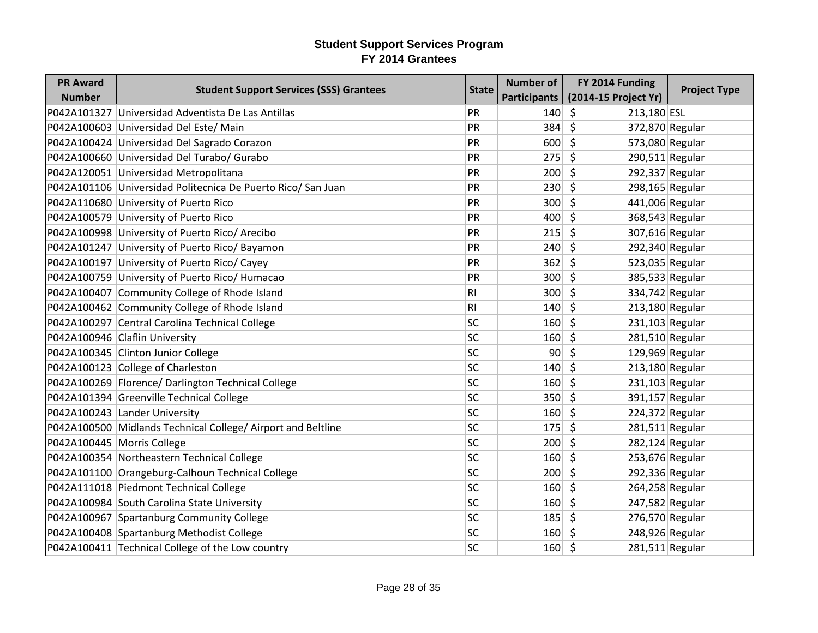| <b>PR Award</b>            | <b>Student Support Services (SSS) Grantees</b>               | <b>State</b>   | <b>Number of</b> | FY 2014 Funding              | <b>Project Type</b> |
|----------------------------|--------------------------------------------------------------|----------------|------------------|------------------------------|---------------------|
| <b>Number</b>              |                                                              |                | Participants     | (2014-15 Project Yr)         |                     |
|                            | P042A101327 Universidad Adventista De Las Antillas           | PR             | 140              | -\$<br>213,180 ESL           |                     |
|                            | P042A100603 Universidad Del Este/ Main                       | PR             | 384              | $\zeta$<br>372,870 Regular   |                     |
|                            | P042A100424 Universidad Del Sagrado Corazon                  | PR             | 600              | $\zeta$<br>573,080 Regular   |                     |
|                            | P042A100660 Universidad Del Turabo/ Gurabo                   | PR             | 275              | Ŝ.<br>$290,511$ Regular      |                     |
|                            | P042A120051 Universidad Metropolitana                        | PR             | 200              | $\zeta$<br>292,337 Regular   |                     |
|                            | P042A101106 Universidad Politecnica De Puerto Rico/ San Juan | PR             | 230              | $\zeta$<br>298,165 Regular   |                     |
|                            | P042A110680 University of Puerto Rico                        | PR             | 300              | Ŝ.<br>441,006 Regular        |                     |
|                            | P042A100579 University of Puerto Rico                        | PR             | 400              | $\zeta$                      | 368,543 Regular     |
|                            | P042A100998 University of Puerto Rico/ Arecibo               | PR             | 215              | $\zeta$<br>307,616 Regular   |                     |
|                            | P042A101247 University of Puerto Rico/ Bayamon               | PR             | 240              | Ŝ.<br>292,340 Regular        |                     |
|                            | P042A100197 University of Puerto Rico/ Cayey                 | PR             | 362              | $\zeta$<br>523,035 Regular   |                     |
|                            | P042A100759 University of Puerto Rico/ Humacao               | PR             | $300 \mid 5$     | 385,533 Regular              |                     |
|                            | P042A100407 Community College of Rhode Island                | R1             | 300              | Ŝ.                           | 334,742 Regular     |
|                            | P042A100462 Community College of Rhode Island                | R <sub>l</sub> | 140              | $\zeta$<br>213,180 Regular   |                     |
|                            | P042A100297 Central Carolina Technical College               | <b>SC</b>      | 160              | $\zeta$<br>$231,103$ Regular |                     |
|                            | P042A100946 Claflin University                               | <b>SC</b>      | 160              | Ŝ.<br>281,510 Regular        |                     |
|                            | P042A100345 Clinton Junior College                           | <b>SC</b>      | 90 <sup>1</sup>  | $\zeta$<br>129,969 Regular   |                     |
|                            | P042A100123 College of Charleston                            | <b>SC</b>      | 140              | $\zeta$<br>$213,180$ Regular |                     |
|                            | P042A100269 Florence/ Darlington Technical College           | <b>SC</b>      | 160              | $\zeta$<br>231,103 Regular   |                     |
|                            | P042A101394 Greenville Technical College                     | <b>SC</b>      | 350              | $\zeta$<br>391,157 Regular   |                     |
|                            | P042A100243 Lander University                                | <b>SC</b>      | 160              | $\zeta$<br>224,372 Regular   |                     |
|                            | P042A100500 Midlands Technical College/ Airport and Beltline | <b>SC</b>      | 175              | Ŝ.<br>$281,511$ Regular      |                     |
| P042A100445 Morris College |                                                              | <b>SC</b>      | $200 \mid 5$     | 282,124 Regular              |                     |
|                            | P042A100354 Northeastern Technical College                   | <b>SC</b>      | 160              | $\zeta$<br>253,676 Regular   |                     |
|                            | P042A101100 Orangeburg-Calhoun Technical College             | <b>SC</b>      | 200              | $\zeta$<br>292,336 Regular   |                     |
|                            | P042A111018 Piedmont Technical College                       | <b>SC</b>      | 160              | Ŝ.<br>264,258 Regular        |                     |
|                            | P042A100984 South Carolina State University                  | <b>SC</b>      | 160              | $\zeta$<br>247,582 Regular   |                     |
|                            | P042A100967 Spartanburg Community College                    | SC             | 185              | \$<br>276,570 Regular        |                     |
|                            | P042A100408 Spartanburg Methodist College                    | <b>SC</b>      | $160 \mid 5$     | 248,926 Regular              |                     |
|                            | P042A100411 Technical College of the Low country             | <b>SC</b>      | $160 \mid 5$     | 281,511 Regular              |                     |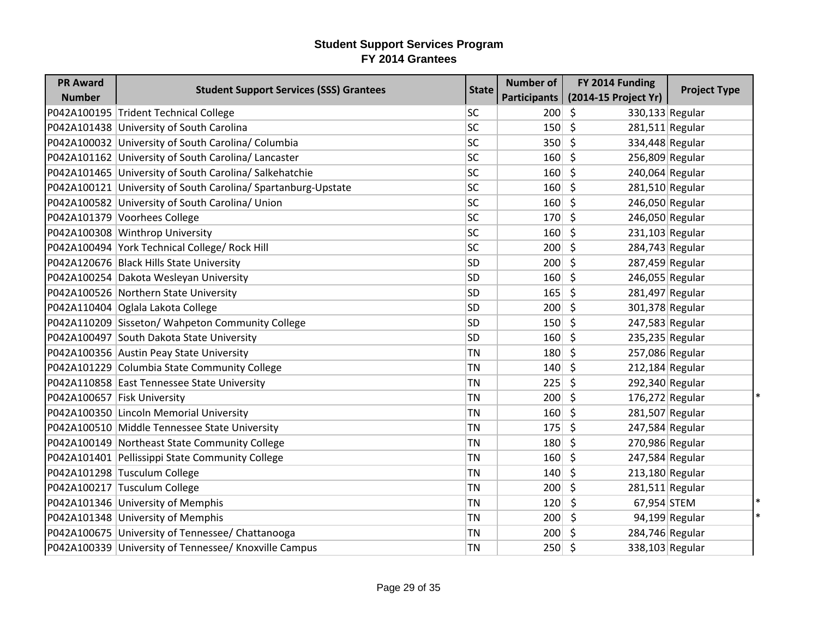| <b>PR Award</b>             | <b>Student Support Services (SSS) Grantees</b>                | <b>State</b> | <b>Number of</b> | FY 2014 Funding                       | <b>Project Type</b>      |
|-----------------------------|---------------------------------------------------------------|--------------|------------------|---------------------------------------|--------------------------|
| <b>Number</b>               |                                                               |              | Participants     | (2014-15 Project Yr)                  |                          |
|                             | P042A100195 Trident Technical College                         | <b>SC</b>    | 200              | \$<br>330,133 Regular                 |                          |
|                             | P042A101438 University of South Carolina                      | <b>SC</b>    | 150              | \$<br>281,511 Regular                 |                          |
|                             | P042A100032 University of South Carolina/ Columbia            | <b>SC</b>    | 350              | $\mathsf{\hat{S}}$<br>334,448 Regular |                          |
|                             | P042A101162 University of South Carolina/ Lancaster           | <b>SC</b>    | 160              | $\zeta$<br>256,809 Regular            |                          |
|                             | P042A101465 University of South Carolina/ Salkehatchie        | <b>SC</b>    | 160              | \$<br>240,064 Regular                 |                          |
|                             | P042A100121 University of South Carolina/ Spartanburg-Upstate | <b>SC</b>    | 160              | \$<br>281,510 Regular                 |                          |
|                             | P042A100582 University of South Carolina/ Union               | <b>SC</b>    | 160              | $\zeta$<br>246,050 Regular            |                          |
|                             | P042A101379 Voorhees College                                  | <b>SC</b>    | 170              | \$<br>246,050 Regular                 |                          |
|                             | P042A100308 Winthrop University                               | <b>SC</b>    | 160              | \$<br>231,103 Regular                 |                          |
|                             | P042A100494 York Technical College/ Rock Hill                 | <b>SC</b>    | 200              | \$<br>284,743 Regular                 |                          |
|                             | P042A120676 Black Hills State University                      | <b>SD</b>    | 200              | \$<br>287,459 Regular                 |                          |
|                             | P042A100254 Dakota Wesleyan University                        | <b>SD</b>    | 160              | \$<br>246,055 Regular                 |                          |
|                             | P042A100526 Northern State University                         | <b>SD</b>    | 165              | \$<br>281,497 Regular                 |                          |
|                             | P042A110404 Oglala Lakota College                             | <b>SD</b>    | 200              | \$<br>301,378 Regular                 |                          |
|                             | P042A110209 Sisseton/ Wahpeton Community College              | <b>SD</b>    | 150              | \$<br>247,583 Regular                 |                          |
|                             | P042A100497 South Dakota State University                     | <b>SD</b>    | 160              | $\zeta$<br>235,235 Regular            |                          |
|                             | P042A100356 Austin Peay State University                      | TN           | 180              | \$<br>257,086 Regular                 |                          |
|                             | P042A101229 Columbia State Community College                  | TN           | 140              | $\zeta$<br>$212,184$ Regular          |                          |
|                             | P042A110858 East Tennessee State University                   | <b>TN</b>    | 225              | \$<br>292,340 Regular                 |                          |
| P042A100657 Fisk University |                                                               | TN           | 200              | \$<br>176,272 Regular                 |                          |
|                             | P042A100350 Lincoln Memorial University                       | TN           | 160              | $\zeta$<br>281,507 Regular            |                          |
|                             | P042A100510 Middle Tennessee State University                 | <b>TN</b>    | 175              | \$<br>247,584 Regular                 |                          |
|                             | P042A100149 Northeast State Community College                 | TN           | 180              | \$<br>270,986 Regular                 |                          |
|                             | P042A101401 Pellissippi State Community College               | TN           | 160              | 247,584 Regular<br>\$                 |                          |
|                             | P042A101298 Tusculum College                                  | <b>TN</b>    | 140              | \$<br>213,180 Regular                 |                          |
|                             | P042A100217 Tusculum College                                  | TN           | 200              | $\zeta$<br>281,511 Regular            |                          |
|                             | P042A101346 University of Memphis                             | <b>TN</b>    | 120              | \$<br>67,954 STEM                     |                          |
|                             | P042A101348 University of Memphis                             | TN           | 200              | \$                                    | 94,199 Regular<br>$\ast$ |
|                             | P042A100675 University of Tennessee/ Chattanooga              | TN           | 200              | \$<br>284,746 Regular                 |                          |
|                             | P042A100339 University of Tennessee/ Knoxville Campus         | <b>TN</b>    | 250              | \$<br>338,103 Regular                 |                          |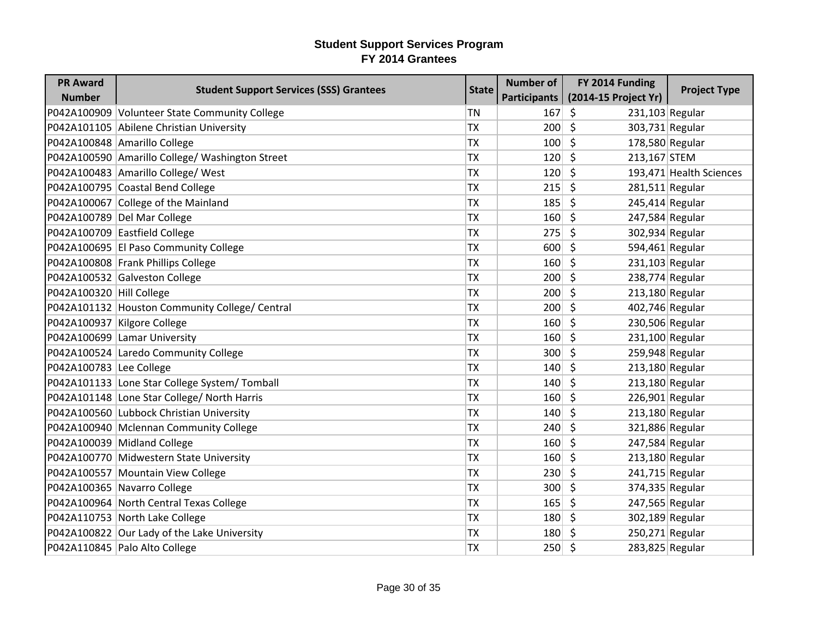| <b>PR Award</b>             | <b>Student Support Services (SSS) Grantees</b>  | <b>State</b> | <b>Number of</b> | FY 2014 Funding         | <b>Project Type</b>     |
|-----------------------------|-------------------------------------------------|--------------|------------------|-------------------------|-------------------------|
| <b>Number</b>               |                                                 |              | Participants     | (2014-15 Project Yr)    |                         |
|                             | P042A100909 Volunteer State Community College   | <b>TN</b>    | 167              | \$<br>$231,103$ Regular |                         |
|                             | P042A101105 Abilene Christian University        | <b>TX</b>    | 200              | $\mathsf{\hat{S}}$      | 303,731 Regular         |
|                             | P042A100848 Amarillo College                    | <b>TX</b>    | 100              | \$<br>178,580 Regular   |                         |
|                             | P042A100590 Amarillo College/ Washington Street | <b>TX</b>    | 120              | \$<br>213,167 STEM      |                         |
|                             | P042A100483 Amarillo College/ West              | <b>TX</b>    | 120              | $\zeta$                 | 193,471 Health Sciences |
|                             | P042A100795 Coastal Bend College                | <b>TX</b>    | 215              | \$                      | $281,511$ Regular       |
|                             | P042A100067 College of the Mainland             | <b>TX</b>    | 185              | \$                      | $245,414$ Regular       |
|                             | P042A100789 Del Mar College                     | <b>TX</b>    | 160              | \$                      | 247,584 Regular         |
|                             | P042A100709 Eastfield College                   | <b>TX</b>    | 275              | \$                      | 302,934 Regular         |
|                             | P042A100695 El Paso Community College           | <b>TX</b>    | 600              | \$                      | 594,461 Regular         |
|                             | P042A100808 Frank Phillips College              | <b>TX</b>    | 160              | $\zeta$                 | $231,103$ Regular       |
|                             | P042A100532 Galveston College                   | <b>TX</b>    | 200              | \$                      | 238,774 Regular         |
| P042A100320 Hill College    |                                                 | <b>TX</b>    | 200              | \$                      | 213,180 Regular         |
|                             | P042A101132 Houston Community College/ Central  | <b>TX</b>    | 200              | \$                      | 402,746 Regular         |
| P042A100937 Kilgore College |                                                 | <b>TX</b>    | 160              | \$                      | 230,506 Regular         |
|                             | P042A100699 Lamar University                    | <b>TX</b>    | 160              | \$<br>$231,100$ Regular |                         |
|                             | P042A100524 Laredo Community College            | <b>TX</b>    | 300              | \$<br>259,948 Regular   |                         |
| P042A100783 Lee College     |                                                 | <b>TX</b>    | 140              | \$                      | $213,180$ Regular       |
|                             | P042A101133 Lone Star College System/ Tomball   | <b>TX</b>    | 140              | \$                      | 213,180 Regular         |
|                             | P042A101148 Lone Star College/ North Harris     | <b>TX</b>    | 160              | \$                      | $226,901$ Regular       |
|                             | P042A100560 Lubbock Christian University        | <b>TX</b>    | 140              | \$                      | $213,180$ Regular       |
|                             | P042A100940 Mclennan Community College          | <b>TX</b>    | 240              | \$                      | 321,886 Regular         |
|                             | P042A100039 Midland College                     | <b>TX</b>    | 160              | \$                      | 247,584 Regular         |
|                             | P042A100770 Midwestern State University         | <b>TX</b>    | 160              | \$                      | 213,180 Regular         |
|                             | P042A100557 Mountain View College               | <b>TX</b>    | 230              | \$                      | 241,715 Regular         |
|                             | P042A100365 Navarro College                     | <b>TX</b>    | 300              | \$                      | 374,335 Regular         |
|                             | P042A100964 North Central Texas College         | <b>TX</b>    | 165              | \$                      | 247,565 Regular         |
|                             | P042A110753 North Lake College                  | <b>TX</b>    | 180              | \$                      | 302,189 Regular         |
|                             | P042A100822 Our Lady of the Lake University     | <b>TX</b>    | 180              | S.                      | $250,271$ Regular       |
|                             | P042A110845 Palo Alto College                   | <b>TX</b>    | $250 \mid 5$     | 283,825 Regular         |                         |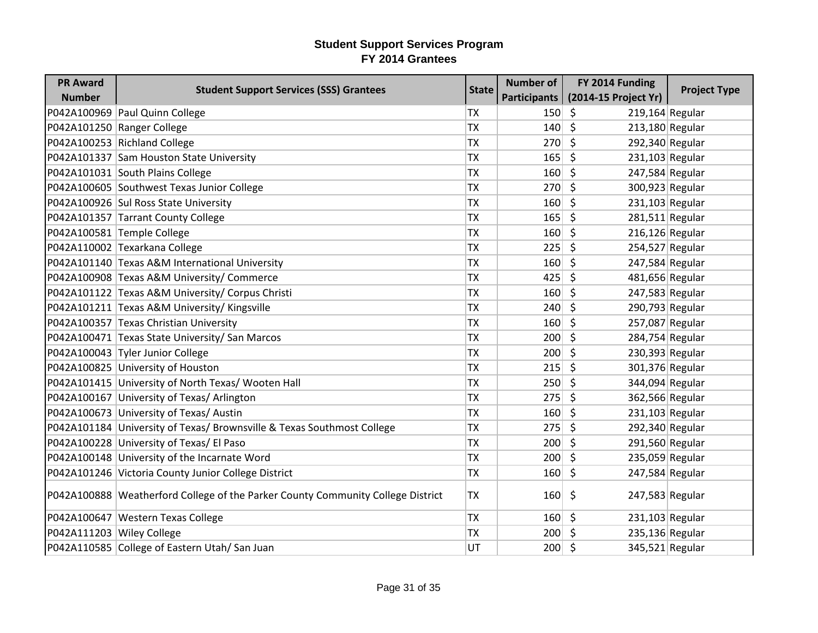| <b>PR Award</b>            | <b>Student Support Services (SSS) Grantees</b>                                  | <b>State</b> | <b>Number of</b> | FY 2014 Funding              | <b>Project Type</b> |
|----------------------------|---------------------------------------------------------------------------------|--------------|------------------|------------------------------|---------------------|
| <b>Number</b>              |                                                                                 |              | Participants     | (2014-15 Project Yr)         |                     |
|                            | P042A100969 Paul Quinn College                                                  | <b>TX</b>    | 150              | $\zeta$<br>$219,164$ Regular |                     |
| P042A101250 Ranger College |                                                                                 | <b>TX</b>    | 140              | $\zeta$<br>$213,180$ Regular |                     |
|                            | P042A100253 Richland College                                                    | <b>TX</b>    | 270              | $\zeta$<br>292,340 Regular   |                     |
|                            | P042A101337 Sam Houston State University                                        | <b>TX</b>    | 165              | \$<br>$231,103$ Regular      |                     |
|                            | P042A101031 South Plains College                                                | <b>TX</b>    | 160              | $\zeta$                      | $247,584$ Regular   |
|                            | P042A100605 Southwest Texas Junior College                                      | <b>TX</b>    | 270              | $\zeta$<br>300,923 Regular   |                     |
|                            | P042A100926 Sul Ross State University                                           | <b>TX</b>    | 160              | $231,103$ Regular<br>\$      |                     |
|                            | P042A101357 Tarrant County College                                              | <b>TX</b>    | 165              | $\zeta$                      | $281,511$ Regular   |
|                            | P042A100581 Temple College                                                      | <b>TX</b>    | 160              | $\zeta$<br>$216,126$ Regular |                     |
|                            | P042A110002 Texarkana College                                                   | <b>TX</b>    | 225              | 254,527 Regular<br>\$        |                     |
|                            | P042A101140 Texas A&M International University                                  | <b>TX</b>    | 160              | $\zeta$<br>247,584 Regular   |                     |
|                            | P042A100908 Texas A&M University/ Commerce                                      | <b>TX</b>    | 425              | \$<br>481,656 Regular        |                     |
|                            | P042A101122 Texas A&M University/ Corpus Christi                                | <b>TX</b>    | 160              | \$<br>247,583 Regular        |                     |
|                            | P042A101211 Texas A&M University/ Kingsville                                    | <b>TX</b>    | 240              | \$<br>290,793 Regular        |                     |
|                            | P042A100357 Texas Christian University                                          | <b>TX</b>    | 160              | $\zeta$<br>257,087 Regular   |                     |
|                            | P042A100471 Texas State University/ San Marcos                                  | <b>TX</b>    | 200              | $\zeta$<br>284,754 Regular   |                     |
|                            | P042A100043 Tyler Junior College                                                | <b>TX</b>    | 200              | $\zeta$<br>230,393 Regular   |                     |
|                            | P042A100825 University of Houston                                               | <b>TX</b>    | 215              | $\zeta$<br>301,376 Regular   |                     |
|                            | P042A101415 University of North Texas/ Wooten Hall                              | <b>TX</b>    | 250              | $\zeta$<br>344,094 Regular   |                     |
|                            | P042A100167 University of Texas/ Arlington                                      | <b>TX</b>    | 275              | \$<br>362,566 Regular        |                     |
|                            | P042A100673 University of Texas/ Austin                                         | <b>TX</b>    | 160              | $231,103$ Regular<br>$\zeta$ |                     |
|                            | P042A101184 University of Texas/ Brownsville & Texas Southmost College          | <b>TX</b>    | 275              | $\zeta$<br>292,340 Regular   |                     |
|                            | P042A100228 University of Texas/ El Paso                                        | <b>TX</b>    | 200              | 291,560 Regular<br>\$        |                     |
|                            | P042A100148 University of the Incarnate Word                                    | <b>TX</b>    | 200              | $\zeta$                      | 235,059 Regular     |
|                            | P042A101246 Victoria County Junior College District                             | <b>TX</b>    | 160              | \$<br>247,584 Regular        |                     |
|                            | P042A100888 Weatherford College of the Parker County Community College District | <b>TX</b>    | 160              | \$<br>247,583 Regular        |                     |
|                            | P042A100647 Western Texas College                                               | <b>TX</b>    | 160              | \$<br>$231,103$ Regular      |                     |
| P042A111203 Wiley College  |                                                                                 | <b>TX</b>    | 200              | 235,136 Regular<br>S.        |                     |
|                            | P042A110585 College of Eastern Utah/ San Juan                                   | UT           | $200 \mid 5$     |                              | 345,521 Regular     |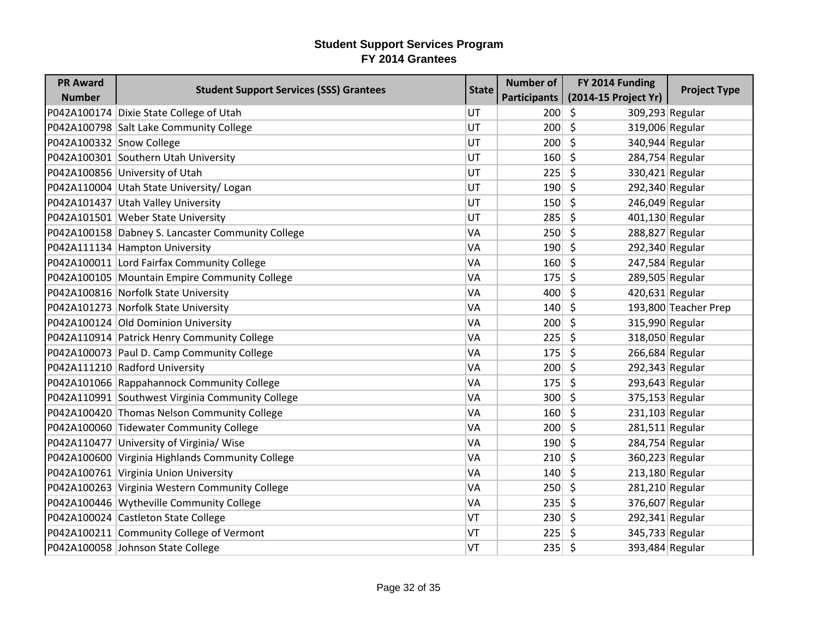| <b>PR Award</b>          | <b>Student Support Services (SSS) Grantees</b>    | <b>State</b> | <b>Number of</b> | FY 2014 Funding                 | <b>Project Type</b>  |
|--------------------------|---------------------------------------------------|--------------|------------------|---------------------------------|----------------------|
| <b>Number</b>            |                                                   |              | Participants     | (2014-15 Project Yr)            |                      |
|                          | P042A100174 Dixie State College of Utah           | <b>UT</b>    | $200 \mid 5$     | 309,293 Regular                 |                      |
|                          | P042A100798 Salt Lake Community College           | UT           | 200              | $\zeta$<br>319,006 Regular      |                      |
| P042A100332 Snow College |                                                   | UT           | 200              | $\zeta$<br>340,944 Regular      |                      |
|                          | P042A100301 Southern Utah University              | UT           | $160 \mid 5$     | 284,754 Regular                 |                      |
|                          | P042A100856 University of Utah                    | UT           | 225              | $\zeta$<br>330,421 Regular      |                      |
|                          | P042A110004 Utah State University/ Logan          | UT           | 190              | $\zeta$<br>292,340 Regular      |                      |
|                          | P042A101437 Utah Valley University                | UT           | 150              | Ŝ.<br>246,049 Regular           |                      |
|                          | P042A101501 Weber State University                | UT           | 285              | $\zeta$<br>401,130 Regular      |                      |
|                          | P042A100158 Dabney S. Lancaster Community College | VA           | 250              | $\zeta$<br>288,827 Regular      |                      |
|                          | P042A111134 Hampton University                    | VA           | 190              | \$<br>292,340 Regular           |                      |
|                          | P042A100011 Lord Fairfax Community College        | VA           | 160              | $\zeta$<br>247,584 Regular      |                      |
|                          | P042A100105 Mountain Empire Community College     | VA           | 175              | $\zeta$<br>289,505 Regular      |                      |
|                          | P042A100816 Norfolk State University              | VA           | 400              | 420,631 Regular<br>\$.          |                      |
|                          | P042A101273 Norfolk State University              | VA           | 140              | \$                              | 193,800 Teacher Prep |
|                          | P042A100124 Old Dominion University               | VA           | 200              | $\zeta$<br>315,990 Regular      |                      |
|                          | P042A110914 Patrick Henry Community College       | VA           | 225              | \$                              | 318,050 Regular      |
|                          | P042A100073 Paul D. Camp Community College        | VA           | 175              | $\zeta$<br>266,684 Regular      |                      |
|                          | P042A111210 Radford University                    | VA           | 200              | $\zeta$<br>292,343 Regular      |                      |
|                          | P042A101066 Rappahannock Community College        | VA           | 175              | \$<br>293,643 Regular           |                      |
|                          | P042A110991 Southwest Virginia Community College  | VA           | 300              | $\zeta$<br>375,153 Regular      |                      |
|                          | P042A100420 Thomas Nelson Community College       | VA           | 160              | $\zeta$<br>231,103 Regular      |                      |
|                          | P042A100060 Tidewater Community College           | VA           | 200              | Ŝ.<br>$281,511$ Regular         |                      |
|                          | P042A110477 University of Virginia/ Wise          | VA           | 190              | S.<br>284,754 Regular           |                      |
|                          | P042A100600 Virginia Highlands Community College  | VA           | 210              | $\zeta$<br>360,223 Regular      |                      |
|                          | P042A100761 Virginia Union University             | VA           | 140              | $\zeta$<br>213,180 Regular      |                      |
|                          | P042A100263 Virginia Western Community College    | VA           | 250              | \$<br>281,210 Regular           |                      |
|                          | P042A100446 Wytheville Community College          | VA           | 235              | \$<br>376,607 Regular           |                      |
|                          | P042A100024 Castleton State College               | VT           | 230              | $\zeta$<br>292,341 Regular      |                      |
|                          | P042A100211 Community College of Vermont          | VT           | 225              | 345,733 Regular<br><sup>S</sup> |                      |
|                          | P042A100058 Johnson State College                 | VT           | 235              | $\zeta$                         | 393,484 Regular      |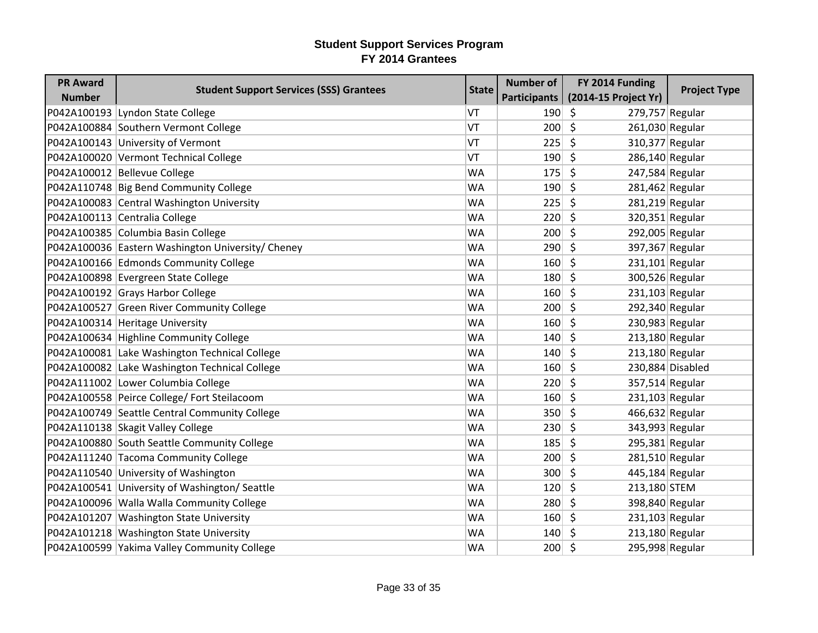| <b>PR Award</b> | <b>Student Support Services (SSS) Grantees</b>    | <b>State</b> | <b>Number of</b> | FY 2014 Funding                       | <b>Project Type</b> |
|-----------------|---------------------------------------------------|--------------|------------------|---------------------------------------|---------------------|
| <b>Number</b>   |                                                   |              | Participants     | (2014-15 Project Yr)                  |                     |
|                 | P042A100193 Lyndon State College                  | VT           | 190              | \$<br>279,757 Regular                 |                     |
|                 | P042A100884 Southern Vermont College              | VT           | 200              | $\mathsf{\hat{S}}$<br>261,030 Regular |                     |
|                 | P042A100143 University of Vermont                 | VT           | 225              | \$<br>310,377 Regular                 |                     |
|                 | P042A100020 Vermont Technical College             | VT           | 190              | \$<br>286,140 Regular                 |                     |
|                 | P042A100012 Bellevue College                      | <b>WA</b>    | 175              | \$<br>247,584 Regular                 |                     |
|                 | P042A110748 Big Bend Community College            | <b>WA</b>    | 190              | \$<br>281,462 Regular                 |                     |
|                 | P042A100083 Central Washington University         | <b>WA</b>    | 225              | \$<br>$281,219$ Regular               |                     |
|                 | P042A100113 Centralia College                     | <b>WA</b>    | 220              | \$                                    | 320,351 Regular     |
|                 | P042A100385 Columbia Basin College                | <b>WA</b>    | 200              | \$<br>292,005 Regular                 |                     |
|                 | P042A100036 Eastern Washington University/ Cheney | WA           | 290              | \$<br>397,367 Regular                 |                     |
|                 | P042A100166 Edmonds Community College             | <b>WA</b>    | 160              | $\zeta$<br>$231,101$ Regular          |                     |
|                 | P042A100898 Evergreen State College               | <b>WA</b>    | 180              | \$                                    | 300,526 Regular     |
|                 | P042A100192 Grays Harbor College                  | <b>WA</b>    | 160              | \$<br>$231,103$ Regular               |                     |
|                 | P042A100527 Green River Community College         | <b>WA</b>    | 200              | \$<br>292,340 Regular                 |                     |
|                 | P042A100314 Heritage University                   | <b>WA</b>    | 160              | \$<br>230,983 Regular                 |                     |
|                 | P042A100634 Highline Community College            | <b>WA</b>    | 140              | \$<br>213,180 Regular                 |                     |
|                 | P042A100081 Lake Washington Technical College     | <b>WA</b>    | 140              | \$<br>213,180 Regular                 |                     |
|                 | P042A100082 Lake Washington Technical College     | <b>WA</b>    | 160              | \$                                    | 230,884 Disabled    |
|                 | P042A111002 Lower Columbia College                | WA           | 220              | \$<br>357,514 Regular                 |                     |
|                 | P042A100558 Peirce College/ Fort Steilacoom       | <b>WA</b>    | 160              | Ś.<br>231,103 Regular                 |                     |
|                 | P042A100749 Seattle Central Community College     | <b>WA</b>    | 350              | \$<br>466,632 Regular                 |                     |
|                 | P042A110138 Skagit Valley College                 | <b>WA</b>    | 230              | \$                                    | 343,993 Regular     |
|                 | P042A100880 South Seattle Community College       | <b>WA</b>    | 185              | \$<br>295,381 Regular                 |                     |
|                 | P042A111240 Tacoma Community College              | <b>WA</b>    | 200              | $\zeta$<br>281,510 Regular            |                     |
|                 | P042A110540 University of Washington              | <b>WA</b>    | 300              | \$<br>445,184 Regular                 |                     |
|                 | P042A100541 University of Washington/Seattle      | <b>WA</b>    | 120              | \$<br>213,180 STEM                    |                     |
|                 | P042A100096 Walla Walla Community College         | <b>WA</b>    | 280              | \$                                    | 398,840 Regular     |
|                 | P042A101207 Washington State University           | <b>WA</b>    | 160              | \$<br>$231,103$ Regular               |                     |
|                 | P042A101218 Washington State University           | <b>WA</b>    | 140              | $213,180$ Regular<br><sup>S</sup>     |                     |
|                 | P042A100599 Yakima Valley Community College       | <b>WA</b>    | $200 \mid 5$     | 295,998 Regular                       |                     |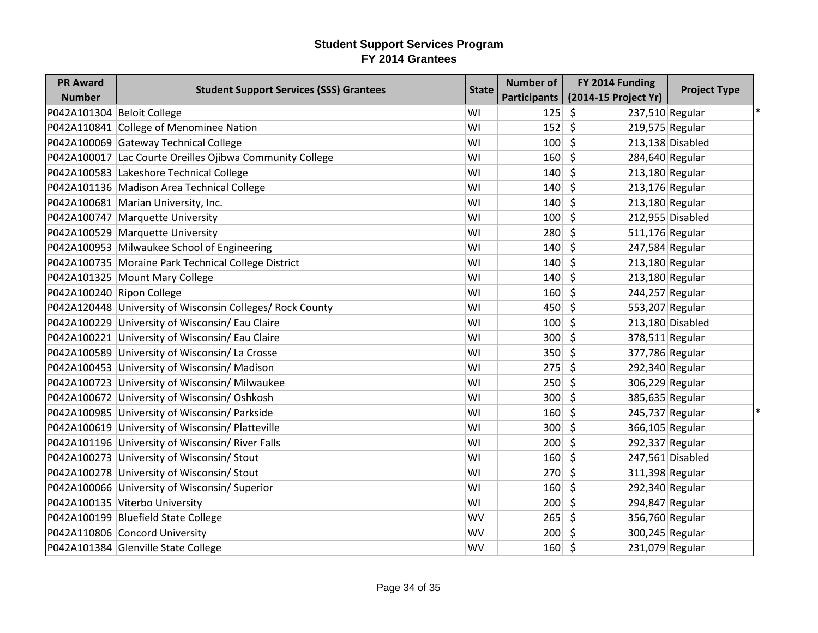| <b>PR Award</b>            | <b>Student Support Services (SSS) Grantees</b>            | <b>State</b> | <b>Number of</b>    | FY 2014 Funding            | <b>Project Type</b> |
|----------------------------|-----------------------------------------------------------|--------------|---------------------|----------------------------|---------------------|
| <b>Number</b>              |                                                           |              | <b>Participants</b> | (2014-15 Project Yr)       |                     |
| P042A101304 Beloit College |                                                           | WI           | 125                 | \$<br>237,510 Regular      |                     |
|                            | P042A110841 College of Menominee Nation                   | WI           | 152                 | \$<br>$219,575$ Regular    |                     |
|                            | P042A100069 Gateway Technical College                     | WI           | 100                 | $\mathsf{\hat{S}}$         | $213,138$ Disabled  |
|                            | P042A100017 Lac Courte Oreilles Ojibwa Community College  | WI           | 160                 | \$<br>284,640 Regular      |                     |
|                            | P042A100583 Lakeshore Technical College                   | WI           | 140                 | \$<br>213,180 Regular      |                     |
|                            | P042A101136 Madison Area Technical College                | WI           | 140                 | \$<br>213,176 Regular      |                     |
|                            | P042A100681 Marian University, Inc.                       | WI           | 140                 | $\zeta$<br>213,180 Regular |                     |
|                            | P042A100747 Marquette University                          | WI           | 100                 | \$                         | 212,955 Disabled    |
|                            | P042A100529 Marquette University                          | WI           | 280                 | \$<br>511,176 Regular      |                     |
|                            | P042A100953 Milwaukee School of Engineering               | WI           | 140                 | \$<br>247,584 Regular      |                     |
|                            | P042A100735 Moraine Park Technical College District       | WI           | 140                 | \$<br>213,180 Regular      |                     |
|                            | P042A101325 Mount Mary College                            | WI           | 140                 | $\zeta$<br>213,180 Regular |                     |
| P042A100240 Ripon College  |                                                           | WI           | 160                 | \$<br>244,257 Regular      |                     |
|                            | P042A120448 University of Wisconsin Colleges/ Rock County | WI           | 450                 | \$<br>553,207 Regular      |                     |
|                            | P042A100229 University of Wisconsin/ Eau Claire           | WI           | 100                 | \$                         | 213,180 Disabled    |
|                            | P042A100221 University of Wisconsin/ Eau Claire           | WI           | 300                 | $\zeta$<br>378,511 Regular |                     |
|                            | P042A100589 University of Wisconsin/ La Crosse            | WI           | 350                 | \$<br>377,786 Regular      |                     |
|                            | P042A100453 University of Wisconsin/ Madison              | WI           | 275                 | \$<br>292,340 Regular      |                     |
|                            | P042A100723 University of Wisconsin/ Milwaukee            | WI           | 250                 | \$<br>306,229 Regular      |                     |
|                            | P042A100672 University of Wisconsin/ Oshkosh              | WI           | 300                 | \$<br>385,635 Regular      |                     |
|                            | P042A100985 University of Wisconsin/ Parkside             | WI           | 160                 | $\zeta$<br>245,737 Regular |                     |
|                            | P042A100619 University of Wisconsin/ Platteville          | WI           | 300                 | \$<br>366,105 Regular      |                     |
|                            | P042A101196 University of Wisconsin/ River Falls          | WI           | 200                 | \$<br>292,337 Regular      |                     |
|                            | P042A100273 University of Wisconsin/ Stout                | WI           | 160                 | \$                         | 247,561 Disabled    |
|                            | P042A100278 University of Wisconsin/ Stout                | WI           | 270                 | \$<br>311,398 Regular      |                     |
|                            | P042A100066 University of Wisconsin/Superior              | WI           | 160                 | \$<br>292,340 Regular      |                     |
|                            | P042A100135 Viterbo University                            | WI           | 200                 | \$<br>294,847 Regular      |                     |
|                            | P042A100199 Bluefield State College                       | WV           | 265                 | \$<br>356,760 Regular      |                     |
|                            | P042A110806 Concord University                            | <b>WV</b>    | 200                 | \$<br>300,245 Regular      |                     |
|                            | P042A101384 Glenville State College                       | WV           | 160                 | \$<br>231,079 Regular      |                     |